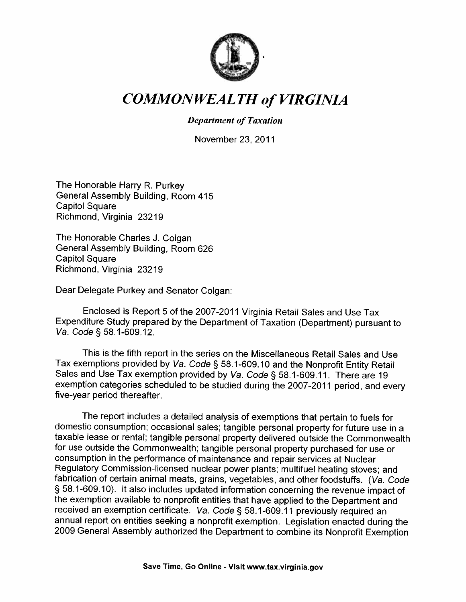

## COMMONWEALTH of VIRGINIA

#### Department of Taxation

November 23, 2011

The Honorable Harry R. Purkey General Assembly Building, Room 415 Capitol Square Richmond, Virginia 23219

The Honorable Charles J. Colgan General Assembly Building, Room 626 Capitol Square Richmond, Virginia 23219

Dear Delegate Purkey and Senator Colgan:

Enclosed is Report <sup>5</sup> of the 2007-2011 Virginia Retail Sales and Use Tax Expenditure Study prepared by the Department of Taxation (Department) pursuant to Va. Code § 58.1-609.12.

This is the fifth report in the series on the Miscellaneous Retail Sales and Use Tax exemptions provided by *Va. Code* § 58.1-609.10 and the Nonprofit Entity Retail Sales and Use Tax exemption provided by *Va. Code* § 58.1-609.11. There are 19 exemption categories scheduled to be studied during the 200 five-year period thereafter.

The report includes <sup>a</sup> detailed analysis of exemptions that pertain to fuels for domestic consumption; occasional sales; tangible personal property for future use in <sup>a</sup> taxable lease or rental; tangible personal property delivered outside the Commonwealth for use outside the Commonwealth; tangible personal property purchased for use or consumption in the performance of maintenance and repair services at Nuclear Regulatory Commission-licensed nuclear power <sup>p</sup>lants; multifuel heating stoves; and fabrication of certain animal meats, grains, vegetables, and other foodstuffs. (Va. Code § 58.1-609.10). It also includes updated information concerning the revenue impact of the exemption available to nonprofit entities that have applied to the Department and<br>received an exemption certificate. Va. Code § 58.1-609.11 previously required an annual report on entities seeking a nonprofit exemption. Legislation enacted during the <sup>2009</sup> General Assembly authorized the Department to combine its Nonprofit Exemption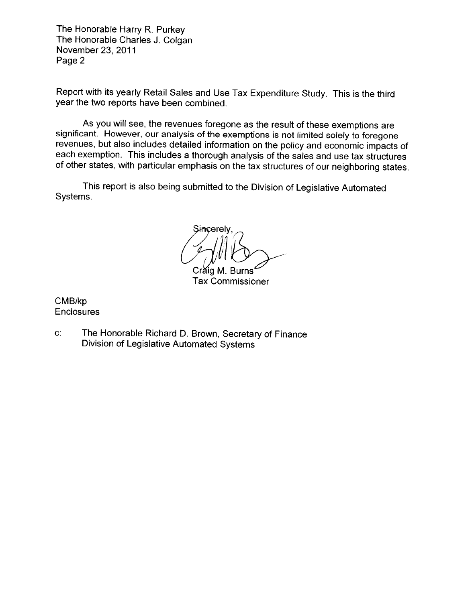The Honorable Harry R. Purkey The Honorable Charles J. Colgan November 23, 2011 Page 2

Report with its yearly Retail Sales and Use Tax Expenditure Study. This is the third year the two reports have been combined.

As you will see, the revenues foregone as the result of these exemptions are significant. However, our analysis of the exemptions is not limited solely to foregone revenues, but also includes detailed information on the po each exemption. This includes a thorough analysis of the sales and use tax structures of other states, with particular emphasis on the tax structures of our neighboring states.

This report is also being submitted to the Division of Legislative Automated Systems.

Sincerely,

Crăig M. Burns Tax Commissioner

CMB/kp Enclosures

C: The Honorable Richard D. Brown, Secretary of Finance Division of Legislative Automated Systems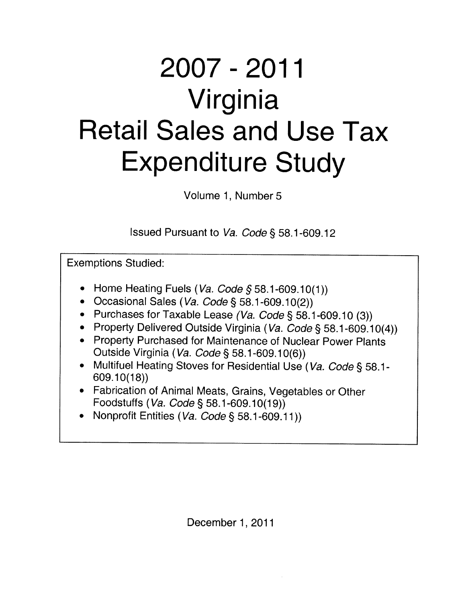# 2007-2011 Virginia Retail Sales and Use Tax Expenditure Study

Volume 1, Number 5

Issued Pursuant to Va. Code § 58.1 -609.12

Exemptions Studied:

- $\bullet~$  Home Heating Fuels (*Va. Code §* 58.1-609.10(1))
- $\bullet$   $\,$  Occasional Sales (*Va. Code* § 58.1-609.10(2))
- $\bullet~$  Purchases for Taxable Lease *(Va. Code* § 58.1-609.10 (3))
- Property Delivered Outside Virginia (*Va. Code* § 58.1-609.10(4))
- Property Purchased for Maintenance of Nuclear Power Plants Outside Virginia (Va. Code § 58.1-609.10(6))
- Multifuel Heating Stoves for Residential Use (Va. Code § 58.1- 609.10(18))
- Fabrication of Animal Meats, Grains, Vegetables or Other Foodstuffs (Va. Code § 58.1-609.10(19))
- $\bullet$   $\,$  Nonprofit Entities (*Va. Code* § 58.1-609.11))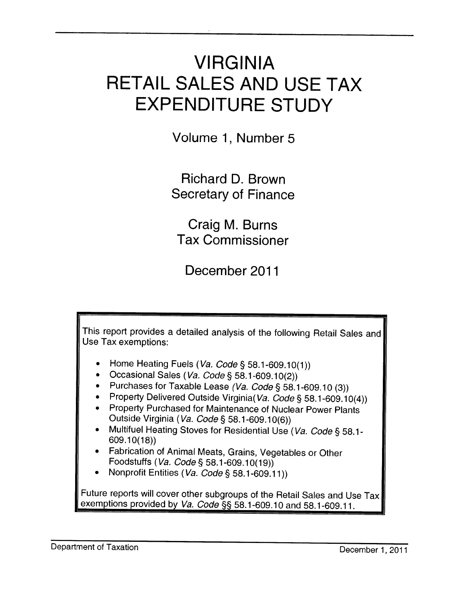## VIRGINIA RETAIL SALES AND USE TAX EXPENDITURE STUDY

Volume 1, Number 5

Richard D. Brown Secretary of Finance

Craig M. Burns Tax Commissioner

December 2011

This report provides a detailed analysis of the following Retail Sales and Use Tax exemptions: •Home Heating Fuels (Va. Code § 58.1-609.10(1))  $\bullet$   $\,$  Occasional Sales (*Va. Code* § 58.1-609.10(2)) • Purchases for Taxable Lease *(Va. Code* § 58.1-609.10 (3))  $\bullet$  Property Delivered Outside Virginia(*Va. Code* § 58.1-609.10(4)) • Property Purchased for Maintenance of Nuclear Power Plants Outside Virginia (Va. Code § 58.1-609.10(6)) • Multifuel Heating Stoves for Residential Use (*Va. Code* § 58.1-<br>——609.10(18)) • Fabrication of Animal Meats, Grains, Vegetables or Other Foodstuffs (Va. Code § 58.1-609.10(19))  $\bullet$   $\,$  Nonprofit Entities (*Va. Code* § 58.1-609.11)) Future reports will cover other subgroups of the Retail Sales and Use Tax exemptions provided by Va. Code §§ 58.1-609.10 and 58.1-609.11.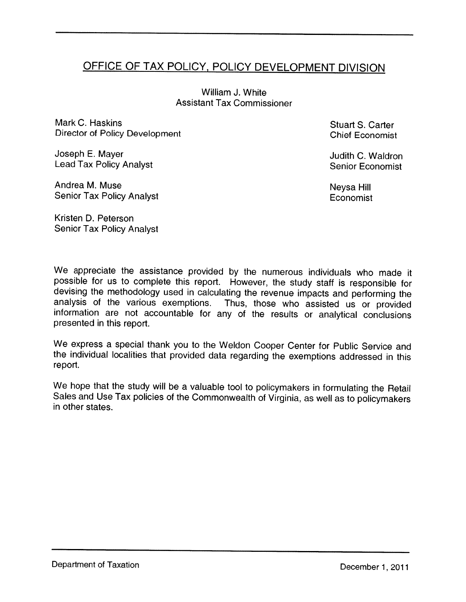## OFFICE OF TAX POLICY, POLICY DEVELOPMENT DIVISION

William J. White Assistant Tax Commissioner

Mark C. Haskins Stuart S. Carter Director of Policy Development Chief Economist

Joseph E. Mayer Judith C. Waidron Lead Tax Policy Analyst Senior Economist

Andrea M. Muse Neysa Hill Senior Tax Policy Analyst Economist<br>
Senior Tax Policy Analyst

Kristen D. Peterson Senior Tax Policy Analyst

We appreciate the assistance provided by the numerous individuals who made it possible for us to complete this report. However, the study staff is responsible for devising the methodology used in calculating the revenue impacts and performing the analysis of the various exemptions. Thus, those who assisted us or provided information are not accountable for any of the results or anal

We express <sup>a</sup> special thank you to the Weldon Cooper Center for Public Service and the individual localities that provided data regarding the exemptions addressed in this report.

We hope that the study will be a valuable tool to policymakers in formulating the Retail Sales and Use Tax policies of the Commonwealth of Virginia, as well as to policymakers in other states.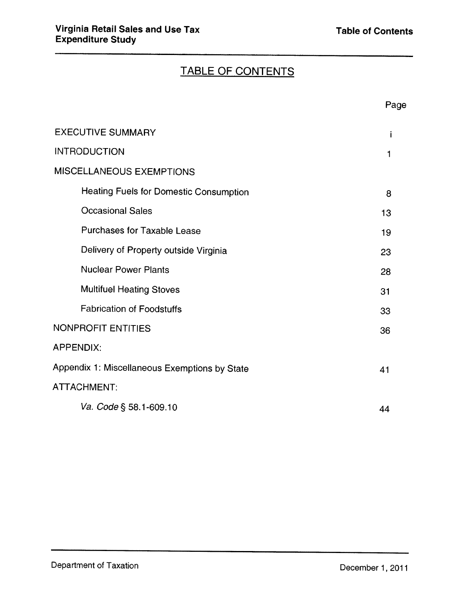## TABLE OF CONTENTS

|                                               | Page |
|-----------------------------------------------|------|
| <b>EXECUTIVE SUMMARY</b>                      | İ    |
| <b>INTRODUCTION</b>                           | 1    |
| MISCELLANEOUS EXEMPTIONS                      |      |
| <b>Heating Fuels for Domestic Consumption</b> | 8    |
| <b>Occasional Sales</b>                       | 13   |
| <b>Purchases for Taxable Lease</b>            | 19   |
| Delivery of Property outside Virginia         | 23   |
| <b>Nuclear Power Plants</b>                   | 28   |
| <b>Multifuel Heating Stoves</b>               | 31   |
| <b>Fabrication of Foodstuffs</b>              | 33   |
| <b>NONPROFIT ENTITIES</b>                     | 36   |
| <b>APPENDIX:</b>                              |      |
| Appendix 1: Miscellaneous Exemptions by State | 41   |
| ATTACHMENT:                                   |      |
| Va. Code § 58.1-609.10                        | 44   |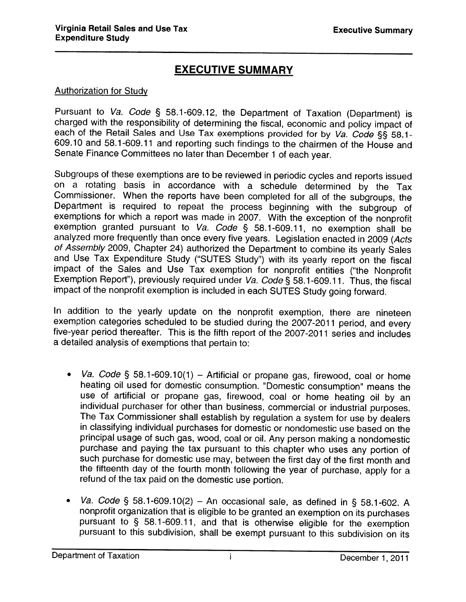## EXECUTIVE SUMMARY

#### Authorization for Study

Pursuant to Va. Code § 58.1-609.12, the Department of Taxation (Department) is charged with the responsibility of determining the fiscal, economic and policy impact of each of the Retail Sales and Use Tax exemptions provided for by Va. Code §§ 58.1-609.10 and 58.1-609.11 and reporting such findings to the chairmen of the House and Senate Finance Committees no later than December <sup>1</sup> of each year.

Subgroups of these exemptions are to be reviewed in periodic cycles and reports issued on <sup>a</sup> rotating basis in accordance with <sup>a</sup> schedule determined by the Tax Commissioner. When the reports have been completed for all of the subgroups, the Department is required to repeat the process beginning with the subgroup of exemptions for which <sup>a</sup> report was made in 2007. With the exception of the nonprofit exemption granted pursuant to Va. Code § 58.1-609.11, no exemption shall be analyzed more frequently than once every five years. Legislation enacted in 2009 (Acts of Assembly 2009, Chapter 24) authorized the Department to combine its yearly Sales and Use Tax Expenditure Study ("SUTES Study") with its yearly report on the fiscal impact of the Sales and Use Tax exemption for nonprofit entities ("the Nonprofit Exemption Report"), previously required under Va. Code § 58.1-609.11. Thus, the fiscal impact of the nonprofit exemption is included in each SUTES Study going forward.

In addition to the yearly update on the nonprofit exemption, there are nineteen exemption categories scheduled to be studied during the 2007-2011 period, and every five-year period thereafter. This is the fifth report of the 2007-2011 series and includes <sup>a</sup> detailed analysis of exemptions that pertain to:

- •• Va. Code § 58.1-609.10(1) – Artificial or propane gas, firewood, coal or home heating oil used for domestic consumption. "Domestic consumption" means the use of artificial or propane gas, firewood, coal or home heating oil by an individual purchaser for other than business, commercial or industrial purposes. The Tax Commissioner shall establish by regulation <sup>a</sup> system for use by dealers in classifying individual purchases for domestic or nondomestic use based on the principal usage of such gas, wood, coal or oil. Any person making <sup>a</sup> nondomestic purchase and paying the tax pursuant to this chapter who uses any portion of such purchase for domestic use may, between the first day of the first month and the fifteenth day of the fourth month following the year of purchase, apply for a refund of the tax paid on the domestic use portion.
- •• *Va. Code* § 58.1-609.10(2) – An occasional sale, as defined in § 58.1-602. A nonprofit organization that is eligible to be granted an exemption on its purchases pursuant to § 58.1-609.11, and that is otherwise eligible for the exemption pursuant to this subdivision, shall be exempt pursuant to this subdivision on its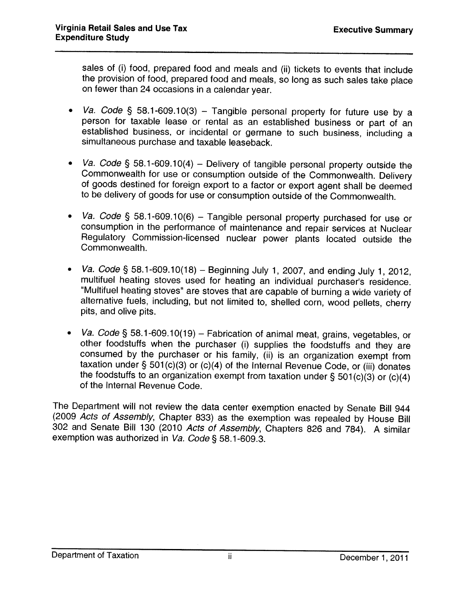sales of (i) food, prepared food and meals and (ii) tickets to events that include the provision of food, prepared food and meals, so long as such sales take <sup>p</sup>lace on fewer than <sup>24</sup> occasions in <sup>a</sup> calendar year.

- •Va. Code § 58.1-609.10(3) – Tangible personal property for future use by a person for taxable lease or rental as an established business or part of an established business, or incidental or germane to such business, including <sup>a</sup> simultaneous purchase and taxable leaseback.
- Va. Code § 58.1-609.10(4) Delivery of tangible personal property outside the Commonwealth for use or consumption outside of the Commonwealth. Delivery of goods destined for foreign export to a factor or export agent shall be deemed to be delivery of goods for use or consumption outside of the Commonwealth.
- • Va. Code § 58.1-609.10(6) — Tangible personal property purchased for use or consumption in the performance of maintenance and repair services at Nuclear Regulatory Commission-licensed nuclear power <sup>p</sup>lants located outside the Commonwealth.
- • Va. Code § 58.1-609.10(18) — Beginning July 1, 2007, and ending July 1, 2012, multifuel heating stoves used for heating an individual purchaser's residence.<br>"Multifuel heating stoves" are stoves that are capable of burning a wide variety of alternative fuels, including, but not limited to, shelled corn, wood pellets, cherry pits, and olive pits.
- • Va. Code § 58.1-609.10(19) — Fabrication of animal meat, grains, vegetables, or other foodstuffs when the purchaser (i) supplies the foodstuffs and they are consumed by the purchaser or his family, (ii) is an organization exempt from taxation under § 501(c)(3) or (c)(4) of the Internal Revenue Code, or (iii) donates the foodstuffs to an organization exempt from taxation under § 501 $(c)(3)$  or  $(c)(4)$  of the Internal Revenue Code.

The Department will not review the data center exemption enacted by Senate Bill 944 (2009 Acts of Assembly, Chapter 833) as the exemption was repealed by House Bill 302 and Senate Bill 130 (2010 Acts of Assembly, Chapters 826 and 784). A similar exemption was authorized in Va. Code § 58.1-609.3.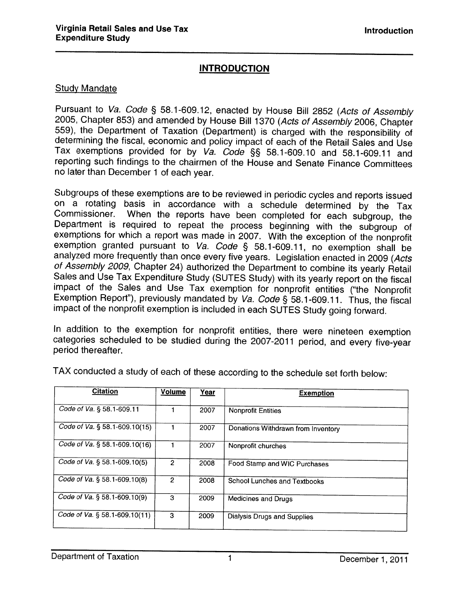#### INTRODUCTION

#### Study Mandate

Pursuant to Va. Code § 58.1-609.12, enacted by House Bill 2852 (Acts of Assembly 2005, Chapter 853) and amended by House Bill 1370 (Acts of Assembly 2006, Chapter 559), the Department of Taxation (Department) is charged wi reporting such findings to the chairmen of the House and Senate Finance Committees no later than December <sup>1</sup> of each year.

Subgroups of these exemptions are to be reviewed in periodic cycles and reports issued<br>on a rotating basis in accordance with a schedule determined by the Tax Commissioner. When the reports have been completed for each subgroup, the Department is required to repeat the process beginning with the subgroup of exemptions for which a report was made in 2007. With the exception of t

In addition to the exemption for nonprofit entities, there were nineteen exemption categories scheduled to be studied during the 2007-2011 period, and every five-year period thereafter.

| <b>Citation</b>               | <b>Volume</b>  | Year | <b>Exemption</b>                   |
|-------------------------------|----------------|------|------------------------------------|
| Code of Va. § 58.1-609.11     |                | 2007 | <b>Nonprofit Entities</b>          |
| Code of Va. § 58.1-609.10(15) |                | 2007 | Donations Withdrawn from Inventory |
| Code of Va. § 58.1-609.10(16) |                | 2007 | Nonprofit churches                 |
| Code of Va. § 58.1-609.10(5)  | $\overline{2}$ | 2008 | Food Stamp and WIC Purchases       |
| Code of Va. § 58.1-609.10(8)  | 2              | 2008 | School Lunches and Textbooks       |
| Code of Va. § 58.1-609.10(9)  | 3              | 2009 | Medicines and Drugs                |
| Code of Va. § 58.1-609.10(11) | 3              | 2009 | <b>Dialysis Drugs and Supplies</b> |

TAX conducted <sup>a</sup> study of each of these according to the schedule set forth below: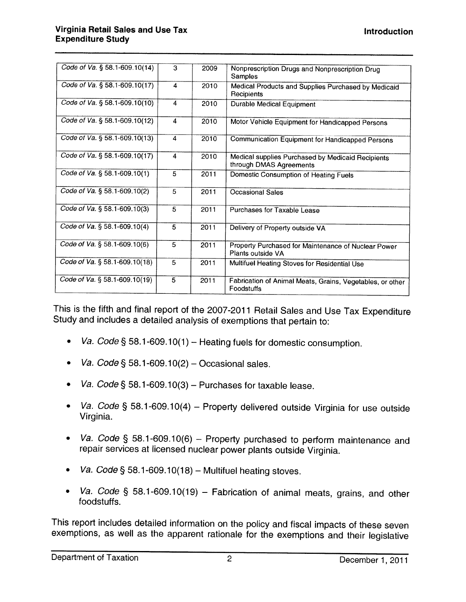| Code of Va. § 58.1-609.10(14)    | 3                       | 2009 | Nonprescription Drugs and Nonprescription Drug                               |
|----------------------------------|-------------------------|------|------------------------------------------------------------------------------|
|                                  |                         |      | Samples                                                                      |
| Code of Va. § 58.1-609.10(17)    | 4                       | 2010 | Medical Products and Supplies Purchased by Medicaid                          |
|                                  |                         |      | Recipients                                                                   |
| Code of Va. § 58.1-609.10(10)    | $\overline{\mathbf{4}}$ | 2010 | <b>Durable Medical Equipment</b>                                             |
| Code of Va. § 58.1-609.10(12)    | 4                       | 2010 | Motor Vehicle Equipment for Handicapped Persons                              |
| Code of Va. § 58.1-609.10(13)    | $\overline{\mathbf{4}}$ | 2010 | Communication Equipment for Handicapped Persons                              |
| Code of Va. § 58.1-609.10(17)    | $\overline{\mathbf{4}}$ | 2010 | Medical supplies Purchased by Medicaid Recipients<br>through DMAS Agreements |
| Code of Va. $\S$ 58.1-609.10(1)  | 5                       | 2011 | Domestic Consumption of Heating Fuels                                        |
| Code of Va. § 58.1-609.10(2)     | 5                       | 2011 | <b>Occasional Sales</b>                                                      |
| Code of Va. § 58.1-609.10(3)     | 5                       | 2011 | Purchases for Taxable Lease                                                  |
| Code of Va. § 58.1-609.10(4)     | 5                       | 2011 | Delivery of Property outside VA                                              |
| Code of Va. § 58.1-609.10(6)     | 5                       | 2011 | Property Purchased for Maintenance of Nuclear Power<br>Plants outside VA     |
| Code of Va. $\S$ 58.1-609.10(18) | 5                       | 2011 | Multifuel Heating Stoves for Residential Use                                 |
| Code of Va. $\S$ 58.1-609.10(19) | 5                       | 2011 | Fabrication of Animal Meats, Grains, Vegetables, or other<br>Foodstuffs      |

This is the fifth and final report of the 2007-2011 Retail Sales and Use Tax Expenditure Study and includes <sup>a</sup> detailed analysis of exemptions that pertain to:

- •Va. Code § 58.1-609.10(1) – Heating fuels for domestic consumption.
- •Va. Code  $\S$  58.1-609.10(2) – Occasional sales.
- •Va. Code § 58.1-609.10(3) — Purchases for taxable lease.
- • Va. Code § 58.1-609.10(4) — Property delivered outside Virginia for use outside Virginia.
- • Va. Code § 58.1-609.10(6) — Property purchased to perform maintenance and repair services at licensed nuclear power <sup>p</sup>lants outside Virginia.
- •Va. Code § 58.1-609.10(18) – Multifuel heating stoves.
- $\bullet$  Va. Code § 58.1-609.10(19) — Fabrication of animal meats, grains, and other foodstuffs.

This report includes detailed information on the policy and fiscal impacts of these seven exemptions, as well as the apparent rationale for the exemptions and their legislative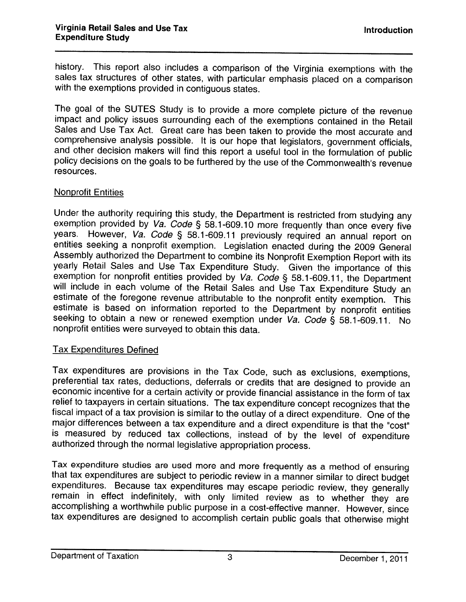history. This report also includes <sup>a</sup> comparison of the Virginia exemptions with the sales tax structures of other states, with particular emphasis <sup>p</sup>laced on <sup>a</sup> comparison with the exemptions provided in contiguous states.

The goa<sup>l</sup> of the SUTES Study is to provide <sup>a</sup> more complete <sup>p</sup>icture of the revenue impact and policy issues surrounding each of the exemptions contained in the Retail Sales and Use Tax Act. Great care has been taken to provide the most accurate and comprehensive analysis possible. It is our hope that legislators, government officials, and other decision makers will find this report a useful tool in the formulation of public policy decisions on the goals to be furthered by the use of the Commonwealth's revenue resources.

#### Nonprofit Entities

Under the authority requiring this study, the Department is restricted from studying any exemption provided by Va. Code § 58.1-609.10 more frequently than once every five years. However, Va. Code § 58.1-609.11 previously entities seeking a nonprofit exemption. Legislation enacted during the 2009 General Assembly authorized the Department to combine its Nonprofit Exemption Report with its yearly Retail Sales and Use Tax Expenditure Study. G exemption for nonprofit entities provided by Va. Code § 58.1-609.11, the Department will include in each volume of the Retail Sales and Use Tax Expenditure Study an estimate of the foregone revenue attributable to the non

#### Tax Expenditures Defined

Tax expenditures are provisions in the Tax Code, such as exclusions, exemptions, economic incentive for a certain activity or provide financial assistance in the form of tax relief to taxpayers in certain situations. The tax expenditure concept recognizes that the fiscal impact of a tax provision is similar to the outlay of a direct expenditure. One of the major differences between a tax expenditure and a direct expenditure is that the "cost" is measured by reduced tax collections,

Tax expenditure studies are used more and more frequently as a method of ensuring<br>that tax expenditures are subject to periodic review in a manner similar to direct budget<br>expenditures. Because tax expenditures may escape accomplishing <sup>a</sup> worthwhile public purpose in <sup>a</sup> cost-effective manner. However, since tax expenditures are designed to accomplish certain public goals that otherwise might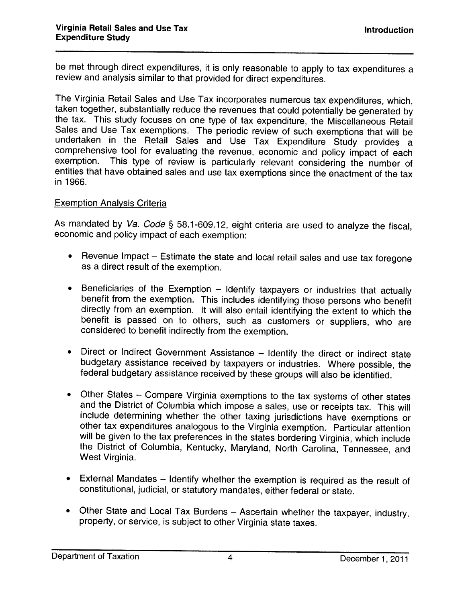be met through direct expenditures, it is only reasonable to apply to tax expenditures <sup>a</sup> review and analysis similar to that provided for direct expenditures.

The Virginia Retail Sales and Use Tax incorporates numerous tax expenditures, which, taken together, substantially reduce the revenues that could potentially be generated by the tax. This study focuses on one type of tax expenditure, the Miscellaneous Retail Sales and Use Tax exemptions. The periodic review of such exemptions that will be undertaken in the Retail Sales and Use Tax Expenditure Study provides a comprehensive tool for evaluating the revenue, economic and policy impact of each<br>exemption. This type of review is particularly relevant considering the number of This type of review is particularly relevant considering the number of entities that have obtained sales and use tax exemptions since the enactment of the tax in 1966.

#### Exemption Analysis Criteria

As mandated by Va. Code § 58.1-609.12, eight criteria are used to analyze the fiscal, economic and policy impact of each exemption:

- • Revenue Impact — Estimate the state and local retail sales and use tax foregone as <sup>a</sup> direct result of the exemption.
- • Beneficiaries of the Exemption — Identify taxpayers or industries that actually benefit from the exemption. This includes identifying those persons who benefit directly from an exemption. It will also entail identifying the extent to which the benefit is passed on to others, such as customers or suppliers, who are considered to benefit indirectly from the exemption.
- •Direct or Indirect Government Assistance – Identify the direct or indirect state budgetary assistance received by taxpayers or industries. Where possible, the federal budgetary assistance received by these groups will also be identified.
- • Other States — Compare Virginia exemptions to the tax systems of other states and the District of Columbia which impose a sales, use or receipts tax. This will include determining whether the other taxing jurisdictions have exemptions or other tax expenditures analogous to the Virginia exemption. Particular attention will be <sup>g</sup>iven to the tax preferences in the states bordering Virginia, which include the District of Columbia, Kentucky, Maryland, North Carolina, Tennessee, and West Virginia.
- • External Mandates — Identify whether the exemption is required as the result of constitutional, judicial, or statutory mandates, either federal or state.
- Other State and Local Tax Burdens Ascertain whether the taxpayer, industry, property, or service, is subject to other Virginia state taxes.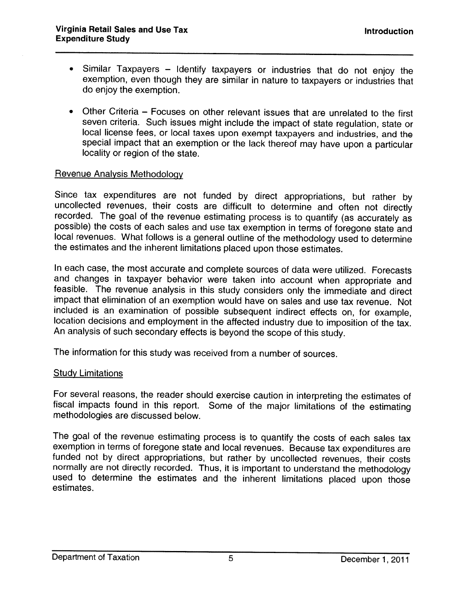- Similar Taxpayers Identify taxpayers or industries that do not enjoy the exemption, even though they are similar in nature to taxpayers or industries that do enjoy the exemption.
- Other Criteria Focuses on other relevant issues that are unrelated to the first seven criteria. Such issues might include the impact of state regulation, state or local license fees, or local taxes upon exempt taxpayers and industries, and the special impact that an exemption or the lack thereof may have upon <sup>a</sup> particular locality or region of the state.

#### Revenue Analysis Methodology

Since tax expenditures are not funded by direct appropriations, but rather by uncollected revenues, their costs are difficult to determine and often not directly recorded. The goal of the revenue estimating process is to q local revenues. What follows is <sup>a</sup> general outline of the methodology used to determine the estimates and the inherent limitations <sup>p</sup>laced upon those estimates.

In each case, the most accurate and complete sources of data were utilized. Forecasts and changes in taxpayer behavior were taken into account when appropriate and feasible. The revenue analysis in this study considers only the immediate and direct impact that elimination of an exemption would have on sales and use tax revenue. Not location decisions and employment in the affected industry due to imposition of the tax. An analysis of such secondary effects is beyond the scope of this study.

The information for this study was received from <sup>a</sup> number of sources.

#### Study Limitations

For several reasons, the reader should exercise caution in interpreting the estimates of fiscal impacts found in this report. Some of the major limitations of the estimating methodologies are discussed below.

The goa<sup>l</sup> of the revenue estimating process is to quantify the costs of each sales tax exemption in terms of foregone state and local revenues. Because tax expenditures are funded not by direct appropriations, but rather by uncollected revenues, their costs normally are not directly recorded. Thus, it is important to understand the methodology used to determine the estimates and the inherent limitations placed upon those estimates.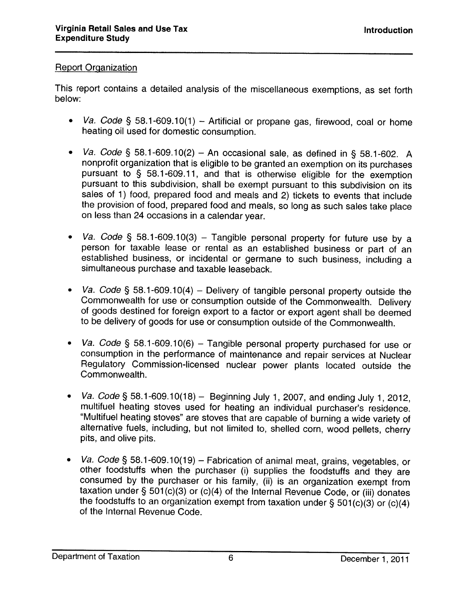#### Report Organization

This report contains <sup>a</sup> detailed analysis of the miscellaneous exemptions, as set forth below:

- • Va. Code § 58.1-609.10(1) — Artificial or propane gas, firewood, coal or home heating oil used for domestic consumption.
- Va. Code § 58.1-609.10(2) An occasional sale, as defined in § 58.1-602. A nonprofit organization that is eligible to be granted an exemption on its purchases pursuant to § 58.1-609.11, and that is otherwise eligible for the exemption pursuant to this subdivision, shall be exempt pursuant to this subdivision on its sales of 1) food, prepared food and meals and 2) tickets to events that include the provision of food, prepared food and meals, so long as such sales take <sup>p</sup>lace on less than <sup>24</sup> occasions in <sup>a</sup> calendar year.
- •Va. Code § 58.1-609.10(3) – Tangible personal property for future use by a person for taxable lease or rental as an established business or part of an established business, or incidental or germane to such business, including <sup>a</sup> simultaneous purchase and taxable leaseback.
- Va. Code § 58.1-609.10(4) Delivery of tangible personal property outside the Commonwealth for use or consumption outside of the Commonwealth. Delivery of goods destined for foreign export to <sup>a</sup> factor or export agent shall be deemed to be delivery of goods for use or consumption outside of the Commonwealth.
- • Va. Code § 58.1-609.10(6) — Tangible personal property purchased for use or consumption in the performance of maintenance and repair services at Nuclear Regulatory Commission-licensed nuclear power <sup>p</sup>lants located outside the Commonwealth.
- $\bullet$ Va. Code § 58.1-609.10(18) - Beginning July 1, 2007, and ending July 1, 2012, multifuel heating stoves used for heating an individual purchaser's residence. "Multifuel heating stoves" are stoves that are capable of burning <sup>a</sup> wide variety of alternative fuels, including, but not limited to, shelled corn, wood pellets, cherry pits, and olive pits.
- • Va. Code § 58.1-609.10(19) — Fabrication of animal meat, grains, vegetables, or other foodstuffs when the purchaser (i) supplies the foodstuffs and they are consumed by the purchaser or his family, (ii) is an organization exempt from taxation under § 501(c)(3) or (c)(4) of the Internal Revenue Code, or (iii) donates the foodstuffs to an organization exempt from taxation under  $\S 501(c)(3)$  or  $(c)(4)$  of the Internal Revenue Code.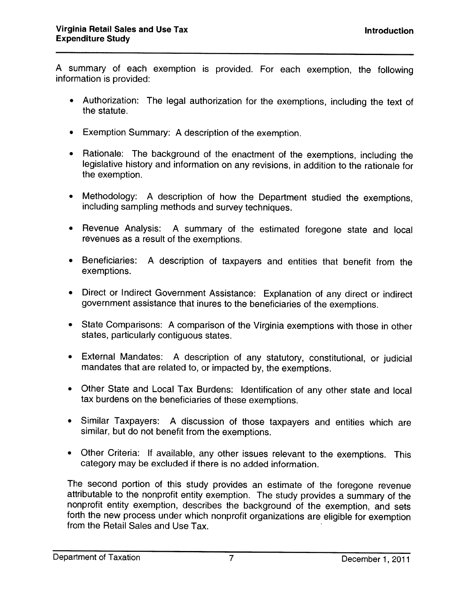<sup>A</sup> summary of each exemption is provided. For each exemption, the following information is provided:

- Authorization: The legal authorization for the exemptions, including the text of the statute.
- Exemption Summary: <sup>A</sup> description of the exemption.
- Rationale: The background of the enactment of the exemptions, including the legislative history and information on any revisions, in addition to the rationale for the exemption.
- Methodology: <sup>A</sup> description of how the Department studied the exemptions, including sampling methods and survey techniques.
- Revenue Analysis: <sup>A</sup> summary of the estimated foregone state and local revenues as <sup>a</sup> result of the exemptions.
- Beneficiaries: <sup>A</sup> description of taxpayers and entities that benefit from the exemptions.
- Direct or Indirect Government Assistance: Explanation of any direct or indirect government assistance that inures to the beneficiaries of the exemptions.
- State Comparisons: <sup>A</sup> comparison of the Virginia exemptions with those in other states, particularly contiguous states.
- External Mandates: <sup>A</sup> description of any statutory, constitutional, or judicial mandates that are related to, or impacted by, the exemptions.
- Other State and Local Tax Burdens: Identification of any other state and local tax burdens on the beneficiaries of these exemptions.
- Similar Taxpayers: <sup>A</sup> discussion of those taxpayers and entities which are similar, but do not benefit from the exemptions.
- Other Criteria: If available, any other issues relevant to the exemptions. This category may be excluded if there is no added information.

The second portion of this study provides an estimate of the foregone revenue attributable to the nonprofit entity exemption. The study provides <sup>a</sup> summary of the nonprofit entity exemption, describes the background of the exemption, and sets forth the new process under which nonprofit organizations are eligible for exemption from the Retail Sales and Use Tax.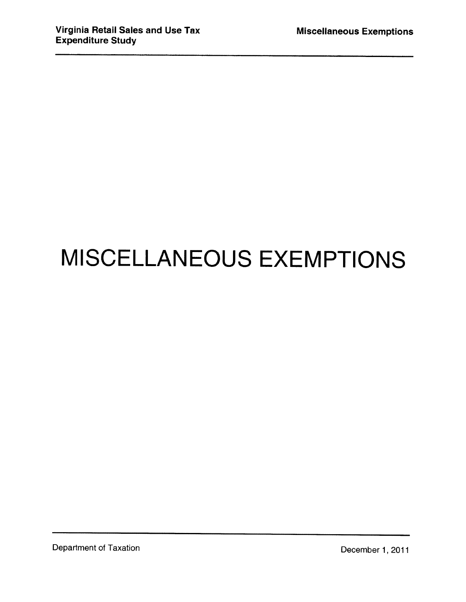# MISCELLANEOUS EXEMPTIONS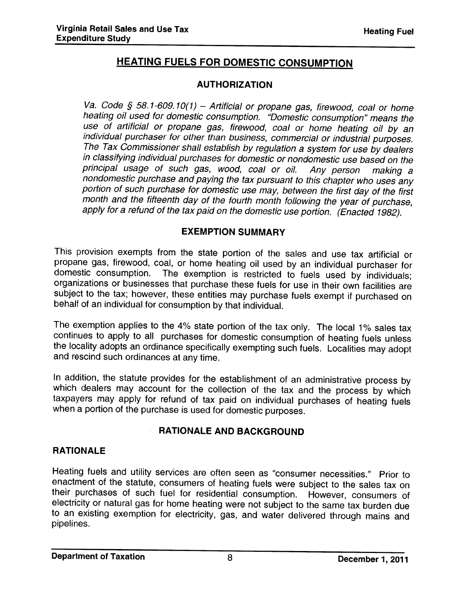## HEATING FUELS FOR DOMESTIC CONSUMPTION

#### AUTHORIZATION

Va. Code § 58.1-609.10(1) - Artificial or propane gas, firewood, coal or home heating oil used for domestic consumption. "Domestic consumption" means the<br>use of artificial or propane gas, firewood, coal or home heating oil by an individual purchaser for other than business, commercial or industrial purposes.<br>The Tax Commissioner shall establish by regulation a system for use by dealers<br>in classifying individual purchases for domestic or nondomesti principal usage of such gas, wood, coal or oil. Any person making a<br>nondomestic purchase and paying the tax pursuant to this chapter who uses any<br>portion of such purchase for domestic use may, between the first day of the apply for <sup>a</sup> refund of the tax paid on the domestic use portion. (Enacted 1982).

#### EXEMPTION SUMMARY

This provision exempts from the state portion of the sales and use tax artificial or propane gas, firewood, coal, or home heating oil used by an individual purchaser for domestic consumption. The exemption is restricted to fuels used by individuals; organizations or businesses that purchase these fuels for use in their own facilities are subject to the tax; however, these entities may purchase fuels exempt if purchased on behalf of an individual for consumption by that individual.

The exemption applies to the 4% state portion of the tax only. The local 1% sales tax continues to apply to all purchases for domestic consumption of heating fuels unless the locality adopts an ordinance specifically exemp

In addition, the statute provides for the establishment of an administrative process by which dealers may account for the collection of the tax and the process by which taxpayers may apply for refund of tax paid on individual purchases of heating fuels when <sup>a</sup> portion of the purchase is used for domestic purposes.

## RATIONALE AND BACKGROUND

## RATIONALE

Heating fuels and utility services are often seen as "consumer necessities." Prior to their purchases of such fuel for residential consumption. However, consumers of electricity or natural gas for home heating were not subject to the same tax burden due to an existing exemption for electricity, gas, and water delivered through mains and pipelines.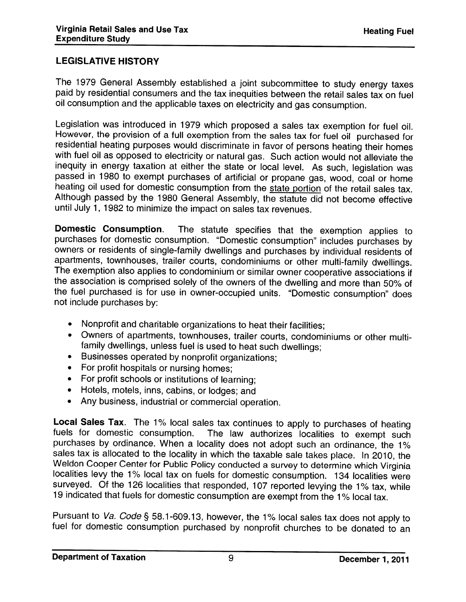#### LEGISLATIVE HISTORY

The 1979 General Assembly established <sup>a</sup> joint subcommittee to study energy taxes paid by residential consumers and the tax inequities between the retail sales tax on fuel oil consumption and the applicable taxes on electricity and gas consumption.

Legislation was introduced in 1979 which proposed a sales tax exemption for fuel oil. However, the provision of a full exemption from the sales tax for fuel oil purchased for residential heating purposes would discriminate in favor of persons heating their homes<br>with fuel oil as opposed to electricity or natural gas. Such action would not alleviate the<br>inequity in energy taxation at either the passed in 1980 to exempt purchases of artificial or propane gas, wood, coal or home heating oil used for domestic consumption from the state portion of the retail sales tax. Although passed by the <sup>1980</sup> General Assembly, the statute did not become effective until July 1, <sup>1982</sup> to minimize the impact on sales tax revenues.

**Domestic Consumption**. The statute specifies that the exemption applies to purchases for domestic consumption. "Domestic consumption" includes purchases by owners or residents of single-family dwellings and purchases by individual residents of apartments, townhouses, trailer courts, condominiums or other multi-family dwellings. The exemption also applies to condominium or similar owner cooperative associations if the association is comprised solely of the owners of the dwelling and more than 50% of the fuel purchased is for use in owner-occupied units. "Domestic consumption" does not include purchases by:

- Nonprofit and charitable organizations to heat their facilities;
- Owners of apartments, townhouses, trailer courts, condominiums or other multi family dwellings, unless fuel is used to heat such dwellings;
- Businesses operated by nonprofit organizations;
- For profit hospitals or nursing homes;
- For profit schools or institutions of learning;
- •Hotels, motels, inns, cabins, or lodges; and
- •Any business, industrial or commercial operation.

**Local Sales Tax**. The 1% local sales tax continues to apply to purchases of heating<br>fuels for domestic consumption. The law authorizes localities to exempt such<br>purchases by ordinance. When a locality does not sales tax is allocated to the locality in which the taxable sale takes <sup>p</sup>lace. In 2010, the Weldon Cooper Center for Public Policy conducted a survey to determine which Virginia localities levy the 1% local tax on fuels for domestic consumption. 134 localities were surveyed. Of the <sup>126</sup> localities that responded, <sup>107</sup> reported levying the 1% tax, while <sup>19</sup> indicated that fuels for domestic consumption are exempt from the <sup>1</sup> % local tax.

Pursuant to Va. Code § 58.1-609.13, however, the 1% local sales tax does not apply to fuel for domestic consumption purchased by nonprofit churches to be donated to an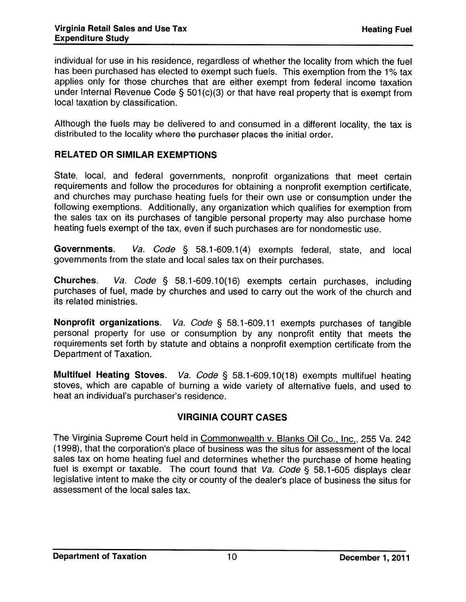individual for use in his residence, regardless of whether the locality from which the fuel has been purchased has elected to exempt such fuels. This exemption from the 1% tax applies only for those churches that are either exempt from federal income taxation under Internal Revenue Code  $\S$  501(c)(3) or that have real property that is exempt from local taxation by classification.

Although the fuels may be delivered to and consumed in <sup>a</sup> different locality, the tax is distributed to the locality where the purchaser <sup>p</sup>laces the initial order.

#### RELATED OR SIMILAR EXEMPTIONS

State, local, and federal governments, nonprofit organizations that meet certain requirements and follow the procedures for obtaining <sup>a</sup> nonprofit exemption certificate, and churches may purchase heating fuels for their own use or consumption under the following exemptions. Additionally, any organization which qualifies for exemption from the sales tax on its purchases of tangible personal property may also purchase home heating fuels exempt of the tax, even if such purchases are for nondomestic use.

Governments. Va. Code § 58.1-609.1(4) exempts federal, state, and local governments from the state and local sales tax on their purchases.

Churches. Va. Code § 58.1-609.10(16) exempts certain purchases, including purchases of fuel, made by churches and used to carry out the work of the church and its related ministries.

Nonprofit organizations. Va. Code § 58.1-609.11 exempts purchases of tangible personal property for use or consumption by any nonprofit entity that meets the requirements set forth by statute and obtains <sup>a</sup> nonprofit exemption certificate from the Department of Taxation.

Multifuel Heating Stoves. *Va. Code* § 58.1-609.10(18) exempts multifuel heating stoves, which are capable of burning <sup>a</sup> wide variety of alternative fuels, and used to heat an individual's purchaser's residence.

#### VIRGINIA COURT CASES

The Virginia Supreme Court held in Commonwealth v. Blanks Oil Co., Inc., 255 Va. 242 (1998), that the corporation's <sup>p</sup>lace of business was the situs for assessment of the local sales tax on home heating fuel and determines whether the purchase of home heating fuel is exempt or taxable. The court found that  $Va$ . Code § 58.1-605 displays clear legislative intent to make the city or county of the dealer's place of business the situs for assessment of the local sales tax.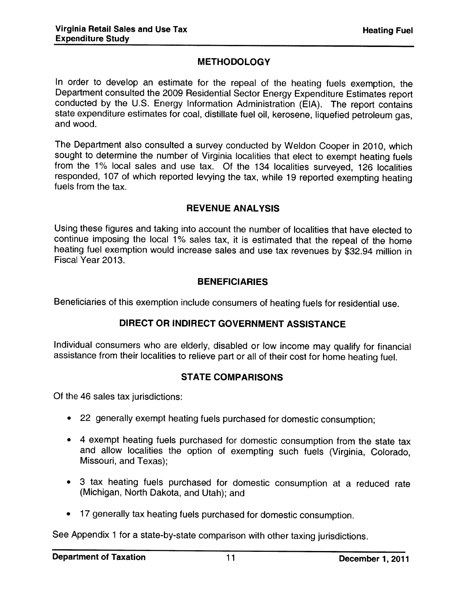## **METHODOLOGY**

In order to develop an estimate for the repea<sup>l</sup> of the heating fuels exemption, the Department consulted the <sup>2009</sup> Residential Sector Energy Expenditure Estimates report conducted by the U.S. Energy Information Administration (EIA). The report contains state expenditure estimates for coal, distillate fuel oil, kerosene, liquefied petroleum gas, and wood.

The Department also consulted <sup>a</sup> survey conducted by Weldon Cooper in 2010, which sought to determine the number of Virginia localities that elect to exempt heating fuels from the 1% local sales and use tax. Of the <sup>134</sup> localities surveyed, <sup>126</sup> localities responded, 107 of which reported levying the tax, while 19 reported exempting heating fuels from the tax.

#### REVENUE ANALYSIS

Using these figures and taking into account the number of localities that have elected to continue imposing the local 1% sales tax, it is estimated that the repeal of the home heating fuel exemption would increase sales and use tax revenues by \$32.94 million in Fiscal Year 2013.

#### **BENEFICIARIES**

Beneficiaries of this exemption include consumers of heating fuels for residential use.

#### DIRECT OR INDIRECT GOVERNMENT ASSISTANCE

Individual consumers who are elderly, disabled or low income may qualify for financial assistance from their localities to relieve part or all of their cost for home heating fuel.

#### STATE COMPARISONS

Of the 46 sales tax jurisdictions:

- <sup>22</sup> generally exempt heating fuels purchased for domestic consumption;
- • <sup>4</sup> exempt heating fuels purchased for domestic consumption from the state tax and allow localities the option of exempting such fuels (Virginia, Colorado, Missouri, and Texas);
- <sup>3</sup> tax heating fuels purchased for domestic consumption at <sup>a</sup> reduced rate (Michigan, North Dakota, and Utah); and
- <sup>17</sup> generally tax heating fuels purchased for domestic consumption.

See Appendix <sup>1</sup> for <sup>a</sup> state-by-state comparison with other taxing jurisdictions.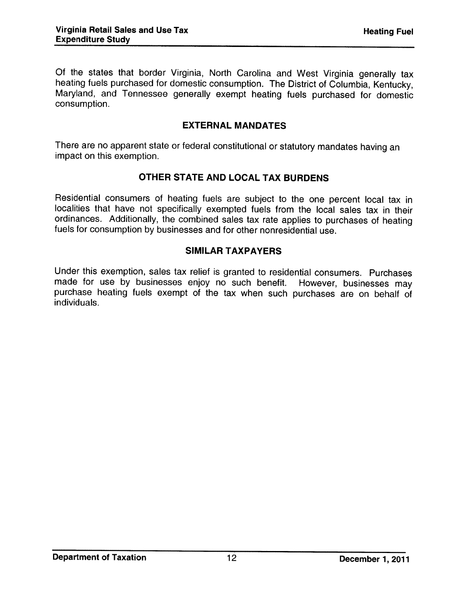Of the states that border Virginia, North Carolina and West Virginia generally tax heating fuels purchased for domestic consumption. The District of Columbia, Kentucky, Maryland, and Tennessee generally exempt heating fuels purchased for domestic consumption.

#### EXTERNAL MANDATES

There are no apparent state or federal constitutional or statutory mandates having an impact on this exemption.

#### OTHER STATE AND LOCAL TAX BURDENS

Residential consumers of heating fuels are subject to the one percent local tax in localities that have not specifically exempted fuels from the local sales tax in their ordinances. Additionally, the combined sales tax rate applies to purchases of heating fuels for consumption by businesses and for other nonresidential use.

#### SIMILAR TAXPAYERS

Under this exemption, sales tax relief is granted to residential consumers. Purchases made for use by businesses enjoy no such benefit. However, businesses may purchase heating fuels exempt of the tax when such purchases are on behalf of individuals.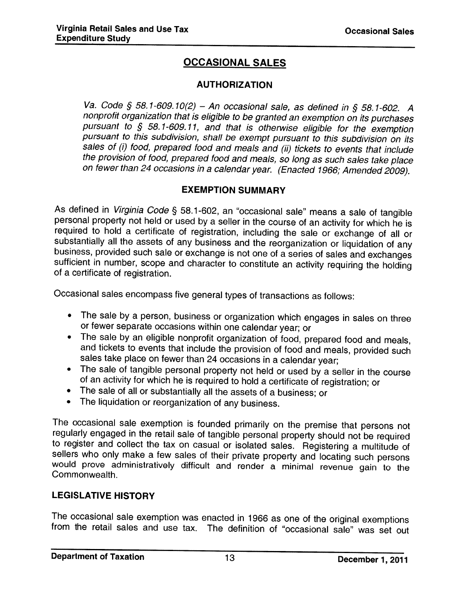## OCCASIONAL SALES

#### AUTHORIZATION

Va, Code § 58.1-609.10(2) — An occasional sale, as defined in § 58.1-602. <sup>A</sup> nonprofit organization that is eligible to be granted an exemption on its purchases pursuant to  $§$  58.1-609.11, and that is otherwise eligible for the exemption pursuant to this subdivision, shall be exempt pursuant to this subdivision on its sales of (i) food, prepared food and meals and (ii) tickets to events that include the provision of food, prepared food and meals, so long as such sales take place on fewer than <sup>24</sup> occasions in <sup>a</sup> calendar year. (Enacted 1966; Amended 2009).

#### EXEMPTION SUMMARY

As defined in *Virginia Code* § 58.1-602, an "occasional sale" means a sale of tangible personal property not held or used by a seller in the course of an activity for which he is required to hold a certificate of registra substantially all the assets of any business and the reorganization or liquidation of any business, provided such sale or exchange is not one of a series of sales and exchanges sufficient in number, scope and character to

Occasional sales encompass five general types of transactions as follows:

- The sale by <sup>a</sup> person, business or organization which engages in sales on three or fewer separate occasions within one calendar year; or
- The sale by an eligible nonprofit organization of food, prepared food and meals, and tickets to events that include the provision of food and meals, provided such<br>sales take place on fewer than 24 occasions in a calendar year;<br>The sale of tangible personal property not held or used by a seller in the c
- $\bullet$ of an activity for which he is required to hold a certificate of registration; or
- The sale of all or substantially all the assets of <sup>a</sup> business; or
- •The liquidation or reorganization of any business.

The occasional sale exemption is founded primarily on the premise that persons not regularly engaged in the retail sale of tangible personal property should not be required to register and collect the tax on casual or isolated sales. Registering a multitude of sellers who only make a few sales of their private property and locating such persons would prove administratively difficult and rende

## LEGISLATIVE HISTORY

The occasional sale exemption was enacted in <sup>1966</sup> as one of the original exemptions from the retail sales and use tax. The definition of "occasional sale" was set out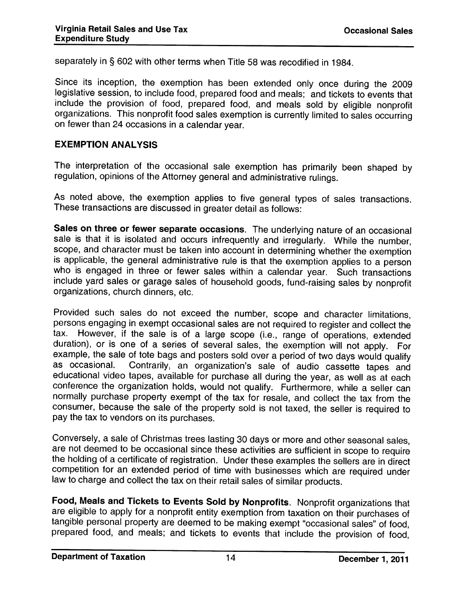separately in § <sup>602</sup> with other terms when Title <sup>58</sup> was recodified in 1984.

Since its inception, the exemption has been extended only once during the <sup>2009</sup> legislative session, to include food, prepared food and meals; and tickets to events that include the provision of food, prepared food, and meals sold by eligible nonprofit organizations. This nonprofit food sales exemption is currently limited to sales occurring on fewer than <sup>24</sup> occasions in <sup>a</sup> calendar year.

#### EXEMPTION ANALYSIS

The interpretation of the occasional sale exemption has primarily been shaped by regulation, opinions of the Attorney general and administrative rulings.

As noted above, the exemption applies to five general types of sales transactions. These transactions are discussed in greater detail as follows:

Sales on three or fewer separate occasions. The underlying nature of an occasional sale is that it is isolated and occurs infrequently and irregularly. While the number, scope, and character must be taken into account in determining whether the exemption is applicable, the general administrative rule is that the exemption applies to a person<br>who is engaged in three or fewer sales within a calendar year. Such transactions include yard sales or garage sales of household goods, fund-raising sales by nonprofit organizations, church dinners, etc.

Provided such sales do not exceed the number, scope and character limitations, persons engaging in exempt occasional sales are not required to register and collect the<br>tax. However, if the sale is of a large scope (i.e., range of operations, extended duration), or is one of a series of several sales, the exemption will not apply. For example, the sale of tote bags and posters sold over a period of two days would qualify<br>as occasional. Contrarily, an organization's sale of audio cassette tapes and educational video tapes, available for purchase all during the year, as well as at each conference the organization holds, would not qualify. Furthermore, while <sup>a</sup> seller can normally purchase property exempt of the tax for resale, and collect the tax from the consumer, because the sale of the property sold is not taxed, the seller is required to pay the tax to vendors on its purchases.

Conversely, <sup>a</sup> sale of Christmas trees lasting <sup>30</sup> days or more and other seasonal sales, the holding of a certificate of registration. Under these examples the sellers are in direct competition for an extended period of time with businesses which are required under law to charge and collect the tax on their retail sales of similar products.

Food, Meals and Tickets to Events Sold by Nonprofits. Nonprofit organizations that are eligible to apply for a nonprofit entity exemption from taxation on their purchases of tangible personal property are deemed to be making exempt "occasional sales" of food, prepared food, and meals; and tickets to events that include the provision of food,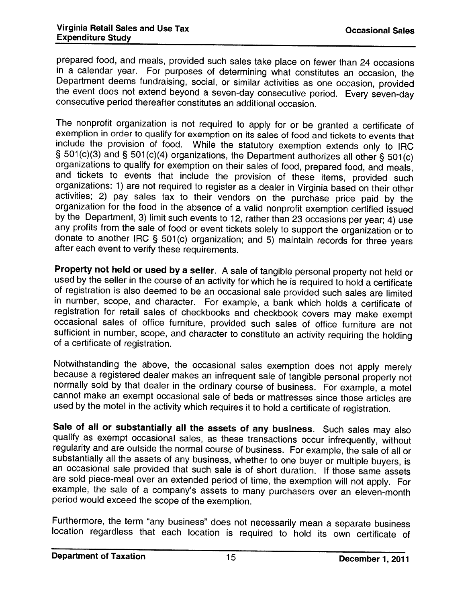prepared food, and meals, provided such sales take place on fewer than 24 occasions<br>in a calendar year. For purposes of determining what constitutes an occasion, the Department deems fundraising, social, or similar activities as one occasion, provided the event does not extend beyond a seven-day consecutive period. Every seven-day consecutive period thereafter constitutes an additional the event does not extend beyond a seven-day consecutive period. Every seven-day

The nonprofit organization is not required to apply for or be granted <sup>a</sup> certificate of exemption in order to qualify for exemption on its sales of food and tickets to events that include the provision of food. While the statutory exemption extends only to IRC  $\S 501(c)(3)$  and  $\S 501(c)(4)$  organizations, the Department authorizes all other  $\S 501(c)$ organizations to qualify for exemption on their sales of food, prepared food, and meals, and tickets to events that include the provision of these items, provided such organizations: 1) are not required to register as a dealer in Virginia based on their other activities; 2) pay sales tax to their vendors on the purchase price paid by the organization for the food in the absence of a valid nonprofit exemption certified issued by the Department, 3) limit such events to 12, rather than 23 occasions per year; 4) use any profits from the sale of food or event tickets solely to support the organization or to donate to another IRC § 501(c) organization; and 5) maintain records for three years after each event to verify these requirements.

Property not held or used by <sup>a</sup> seller. Property not held or used by a seller. A sale of tangible personal property not held or<br>used by the seller in the course of an activity for which he is required to hold a certificate of registration is also deemed to be an occasional sale provided such sales are limited<br>in number, scope, and character. For example, a bank which holds a certificate of registration for retail sales of checkbooks and checkbook covers may make exempt occasional sales of office furniture, provided such sales of office furniture are not sufficient in number, scope, and character to constitute an activity requiring the holding of a certificate of registration.

Notwithstanding the above, the occasional sales exemption does not apply merely<br>because a registered dealer makes an infrequent sale of tangible personal property not because a registered dealer makes an infrequent sale of tangible personal property not<br>normally sold by that dealer in the ordinary course of business. For example, a motel cannot make an exempt occasional sale of beds or mattresses since those articles are used by the motel in the activity which requires it to hold <sup>a</sup> certificate of registration.

Sale of all or substantially all the assets of any business. Such sales may also qualify as exempt occasional sales, as these transactions occur infrequently, without regularity and are outside the normal course of business. For example, the sale of all or substantially all the assets of any business, whether to one buyer or multiple buyers, is an occasional sale provided that such sale is of short duration. If those same assets are sold <sup>p</sup>iece-meal over an extended period of time, the exemption will not apply. For example, the sale of a company's assets to many purchasers over an eleven-month period would exceed the scope of the exemption.

Furthermore, the term "any business" does not necessarily mean a separate business location regardless that each location is required to hold its own certificate of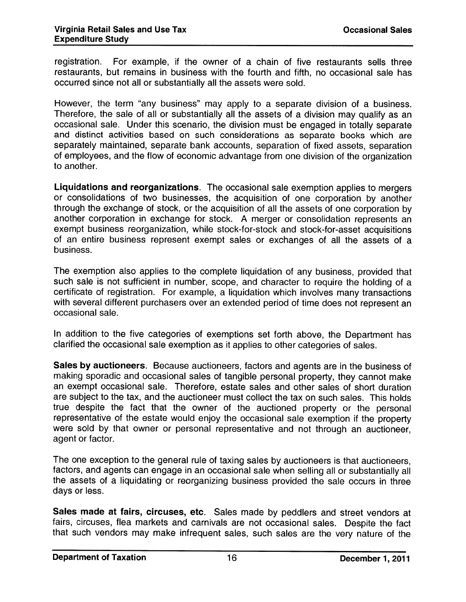registration. For example, if the owner of <sup>a</sup> chain of five restaurants sells three restaurants, but remains in business with the fourth and fifth, no occasional sale has occurred since not all or substantially all the assets were sold.

However, the term "any business" may apply to <sup>a</sup> separate division of <sup>a</sup> business. Therefore, the sale of all or substantially all the assets of <sup>a</sup> division may qualify as an occasional sale. Under this scenario, the division must be engage<sup>d</sup> in totally separate and distinct activities based on such considerations as separate books which are separately maintained, separate bank accounts, separation of fixed assets, separation of employees, and the flow of economic advantage from one division of the organization to another.

Liquidations and reorganizations. The occasional sale exemption applies to mergers or consolidations of two businesses, the acquisition of one corporation by another through the exchange of stock, or the acquisition of all the assets of one corporation by another corporation in exchange for stock. <sup>A</sup> merger or consolidation represents an exemp<sup>t</sup> business reorganization, while stock-for-stock and stock-for-asset acquisitions of an entire business represen<sup>t</sup> exemp<sup>t</sup> sales or exchanges of all the assets of <sup>a</sup> business.

The exemption also applies to the complete liquidation of any business, provided that such sale is not sufficient in number, scope, and character to require the holding of <sup>a</sup> certificate of registration. For example, <sup>a</sup> liquidation which involves many transactions with several different purchasers over an extended period of time does not represen<sup>t</sup> an occasional sale.

In addition to the five categories of exemptions set forth above, the Department has clarified the occasional sale exemption as it applies to other categories of sales.

Sales by auctioneers. Because auctioneers, factors and agents are in the business of making sporadic and occasional sales of tangible persona<sup>l</sup> property, they cannot make an exemp<sup>t</sup> occasional sale. Therefore, estate sales and other sales of short duration are subject to the tax, and the auctioneer must collect the tax on such sales. This holds true despite the fact that the owner of the auctioned property or the persona<sup>l</sup> representative of the estate would enjoy the occasional sale exemption if the property were sold by that owner or persona<sup>l</sup> representative and not through an auctioneer, agen<sup>t</sup> or factor.

The one exception to the genera<sup>l</sup> rule of taxing sales by auctioneers is that auctioneers, factors, and agents can engage in an occasional sale when selling all or substantially all the assets of <sup>a</sup> liquidating or reorganizing business provided the sale occurs in three days or less.

Sales made at fairs, circuses, etc. Sales made by peddlers and street vendors at fairs, circuses, flea markets and carnivals are not occasional sales. Despite the fact that Such vendors may make infrequent sales, such sales are the very nature of the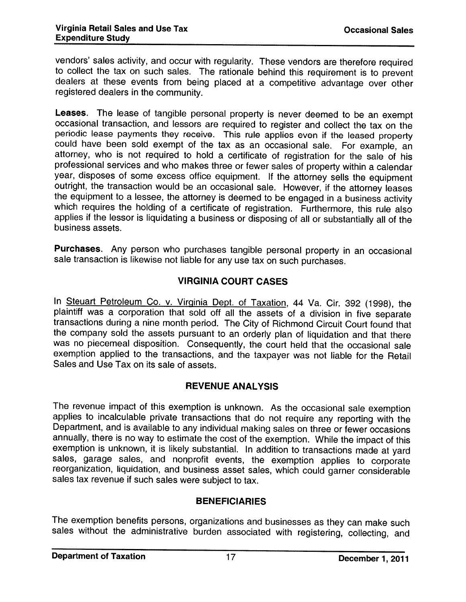vendors' sales activity, and occur with regularity. These vendors are therefore required<br>to collect the tax on such sales. The rationale behind this requirement is to prevent dealers at these events from being placed at a competitive advantage over other registered dealers in the community.

Leases. The lease of tangible personal property is never deemed to be an exempt occasional transaction, and lessors are required to register and collect the tax on the periodic lease payments they receive. This rule applie could have been sold exempt of the tax as an occasional sale. For example, an attorney, who is not required to hold <sup>a</sup> certificate of registration for the sale of his professional services and who makes three or fewer sales of property within a calendar<br>year, disposes of some excess office equipment. If the attorney sells the equipment outright, the transaction would be an occasional sale. However, if the attorney leases the equipment to a lessee, the attorney is deemed to be engaged in a business activity which requires the holding of a certificate of r applies if the lessor is liquidating <sup>a</sup> business or disposing of all or substantially all of the business assets.

Purchases. Any person who purchases tangible personal property in an occasional sale transaction is likewise not liable for any use tax on such purchases.

#### VIRGINIA COURT CASES

In Steuart Petroleum Co. v. Virginia Dept. of Taxation, 44 Va. Cir. 392 (1998), the plaintiff was a corporation that sold off all the assets of a division in five separate transactions during a nine month period. The City of Richmond Circuit Court found that the company sold the assets pursuant to an orderly <sup>p</sup>lan of liquidation and that there was no <sup>p</sup>iecemeal disposition. Consequently, the court held that the occasional sale exemption applied to the transactions, and the taxpayer was not liable for the Retail Sales and Use Tax on its sale of assets.

#### REVENUE ANALYSIS

The revenue impact of this exemption is unknown. As the occasional sale exemption applies to incalculable private transactions that do not require any reporting with the Department, and is available to any individual making sales on three or fewer occasions annually, there is no way to estimate the cost of the exemption. While the impact of this exemption is unknown, it is likely substantial. In addition to transactions made at yard sales, garage sales, and nonprofit events, the exemption applies to corporate reorganization, liquidation, and business asset sales,

#### BENEFICIARIES

The exemption benefits persons, organizations and businesses as they can make such sales without the administrative burden associated with registering, collecting, and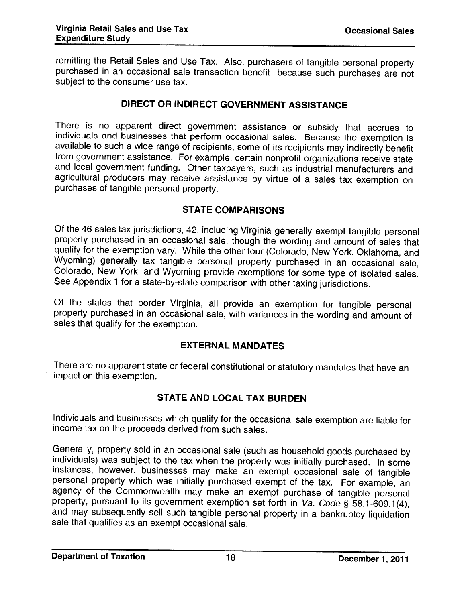remitting the Retail Sales and Use Tax. Also, purchasers of tangible personal property purchased in an occasional sale transaction benefit because such purchases are not subject to the consumer use tax.

#### DIRECT OR INDIRECT GOVERNMENT ASSISTANCE

There is no apparent direct government assistance or subsidy that accrues to individuals and businesses that perform occasional sales. Because the exemption is available to such a wide range of recipients, some of its recipients may indirectly benefit<br>from government assistance. For example, certain nonprofit organizations receive state and local government funding. Other taxpayers, such as industrial manufacturers and agricultural producers may receive assistance by virtue of <sup>a</sup> sales tax exemption on purchases of tangible personal property.

#### STATE COMPARISONS

Of the <sup>46</sup> sales tax jurisdictions, 42, including Virginia generally exempt tangible personal property purchased in an occasional sale, though the wording and amount of sales that qualify for the exemption vary. While the other four (Colorado, New York, Oklahoma, and<br>Wyoming) generally tax tangible personal property purchased in an occasional sale, Colorado, New York, and Wyoming provide exemptions for some type of isolated sales. See Appendix <sup>1</sup> for <sup>a</sup> state-by-state comparison with other taxing jurisdictions.

Of the states that border Virginia, all provide an exemption for tangible personal property purchased in an occasional sale, with variances in the wording and amount of sales that qualify for the exemption.

#### EXTERNAL MANDATES

There are no apparent state or federal constitutional or statutory mandates that have an impact on this exemption.

#### STATE AND LOCAL TAX BURDEN

Individuals and businesses which qualify for the occasional sale exemption are liable for income tax on the proceeds derived from such sales.

Generally, property sold in an occasional sale (such as household goods purchased by individuals) was subject to the tax when the property was initially purchased. In some instances, however, businesses may make an exempt agency of the Commonwealth may make an exempt purchase of tangible personal property, pursuant to its government exemption set forth in  $Va.$  Code § 58.1-609.1(4), and may subsequently sell such tangible personal property in a bankruptcy liquidation<br>sale that qualifies as an exempt occasional sale.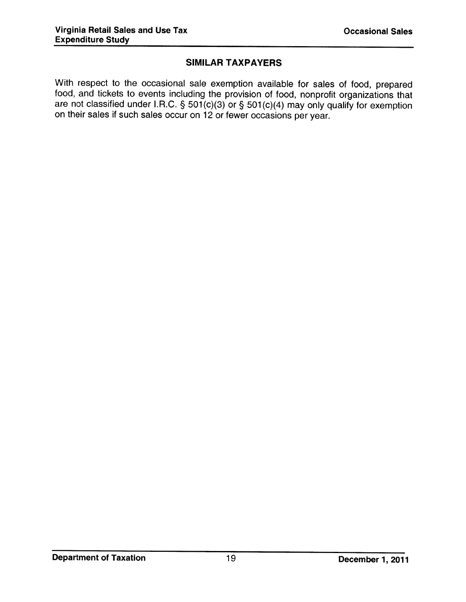#### SIMILAR TAXPAYERS

With respect to the occasional sale exemption available for sales of food, prepared food, and tickets to events including the provision of food, nonprofit organizations that are not classified under I.R.C. §  $501(c)(3)$  or §  $501(c)(4)$  may only qualify for exemption on their sales if such sales occur on <sup>12</sup> or fewer occasions per year.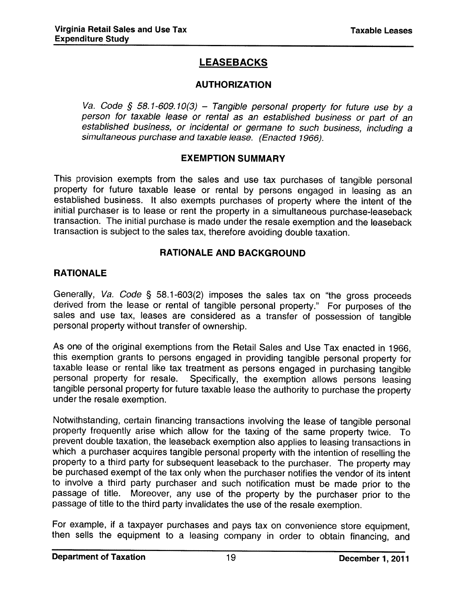## LEASEBACKS

#### AUTHORIZATION

Va. Code § 58.1-609.10(3) – Tangible personal property for future use by a person for taxable lease or rental as an established business or part of an established business, or incidental or germane to such business, including <sup>a</sup> simultaneous purchase and taxable lease. (Enacted 1966).

#### EXEMPTION SUMMARY

This provision exempts from the sales and use tax purchases of tangible personal property for future taxable lease or rental by persons engaged in leasing as an established business. It also exempts purchases of property where the intent of the initial purchaser is to lease or rent the property in <sup>a</sup> simultaneous purchase-leaseback transaction. The initial purchase is made under the resale exemption and the leaseback transaction is subject to the sales tax, therefore avoiding double taxation.

#### RATIONALE AND BACKGROUND

#### **RATIONALE**

Generally, Va. Code § 58.1-603(2) imposes the sales tax on "the gross proceeds derived from the lease or rental of tangible personal property." For purposes of the sales and use tax, leases are considered as <sup>a</sup> transfer of possession of tangible personal property without transfer of ownership.

As one of the original exemptions from the Retail Sales and Use Tax enacted in 1966, this exemption grants to persons engaged in providing tangible personal property for taxable lease or rental like tax treatment as persons engaged in purchasing tangible<br>personal property for resale. Specifically, the exemption allows persons leasing Specifically, the exemption allows persons leasing tangible personal property for future taxable lease the authority to purchase the property under the resale exemption.

Notwithstanding, certain financing transactions involving the lease of tangible personal property frequently arise which allow for the taxing of the same property twice. To prevent double taxation, the leaseback exemption also applies to leasing transactions in which a purchaser acquires tangible personal property with the intention of reselling the property may property may be purchased exempt of the tax only when the purchaser notifies the vendor of its intent to involve <sup>a</sup> third party purchaser and such notification must be made prior to the passage of title. Moreover, any use of the property by the purchaser prior to the passage of title to the third party invalidates the use of the resale exemption.

For example, if <sup>a</sup> taxpayer purchases and pays tax on convenience store equipment, then sells the equipment to <sup>a</sup> leasing company in order to obtain financing, and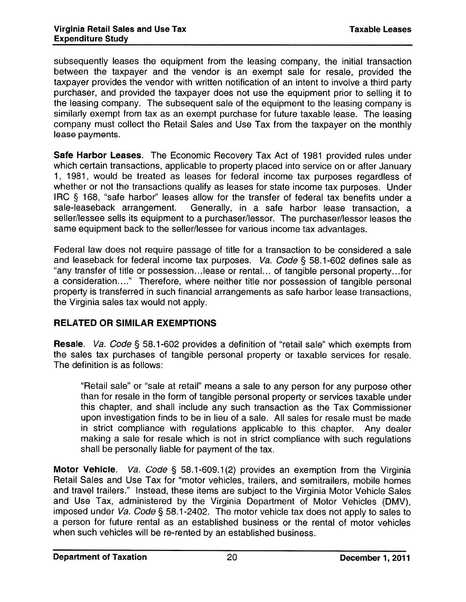subsequently leases the equipment from the leasing company, the initial transaction between the taxpayer and the vendor is an exemp<sup>t</sup> sale for resale, provided the taxpayer provides the vendor with written notification of an intent to involve <sup>a</sup> third party purchaser, and provided the taxpayer does not use the equipment prior to selling it to the leasing company. The subsequent sale of the equipment to the leasing company is similarly exemp<sup>t</sup> from tax as an exemp<sup>t</sup> purchase for future taxable lease. The leasing company must collect the Retail Sales and Use Tax from the taxpayer on the monthly lease payments.

Safe Harbor Leases. The Economic Recovery Tax Act of 1981 provided rules under which certain transactions, applicable to property <sup>p</sup>laced into service on or after January 1, 1981, would be treated as leases for federal income tax purposes regardless of whether or not the transactions qualify as leases for state income tax purposes. Under IRC § 168, "safe harbor" leases allow for the transfer of federal tax benefits under a sale-leaseback arrangement. Generally, in a safe harbor lease transaction, a Generally, in a safe harbor lease transaction, a seller/lessee sells its equipment to <sup>a</sup> purchaser/lessor. The purchaser/lessor leases the same equipment back to the seller/lessee for various income tax advantages.

Federal law does not require passage of title for <sup>a</sup> transaction to be considered <sup>a</sup> sale and leaseback for federal income tax purposes. Va. Code § 58.1-602 defines sale as "any transfer of title or possession.. .lease or rental.., of tangible persona<sup>l</sup> property.. .for <sup>a</sup> consideration...." Therefore, where neither title nor possession of tangible persona<sup>l</sup> property is transferred in such financial arrangements as safe harbor lease transactions, the Virginia sales tax would not apply.

#### RELATED OR SIMILAR EXEMPTIONS

Resale. Va. Code § 58.1-602 provides <sup>a</sup> definition of "retail sale" which exempts from the sales tax purchases of tangible personal property or taxable services for resale. The definition is as follows:

"Retail sale" or "sale at retail" means <sup>a</sup> sale to any person for any purpose other than for resale in the form of tangible personal property or services taxable under this chapter, and shall include any such transaction as the Tax Commissioner upon investigation finds to be in lieu of <sup>a</sup> sale. All sales for resale must be made in strict compliance with regulations applicable to this chapter. Any dealer making <sup>a</sup> sale for resale which is not in strict compliance with such regulations shall be personally liable for paymen<sup>t</sup> of the tax.

**Motor Vehicle.** Va. Code § 58.1-609.1(2) provides an exemption from the Virginia Retail Sales and Use Tax for "motor vehicles, trailers, and semitrailers, mobile homes and travel trailers." Instead, these items are subject to the Virginia Motor Vehicle Sales and Use Tax, administered by the Virginia Department of Motor Vehicles (DMV), imposed under Va. Code § 58.1-2402. The motor vehicle tax does not apply to sales to <sup>a</sup> person for future rental as an established business or the rental of motor vehicles when such vehicles will be re-rented by an established business.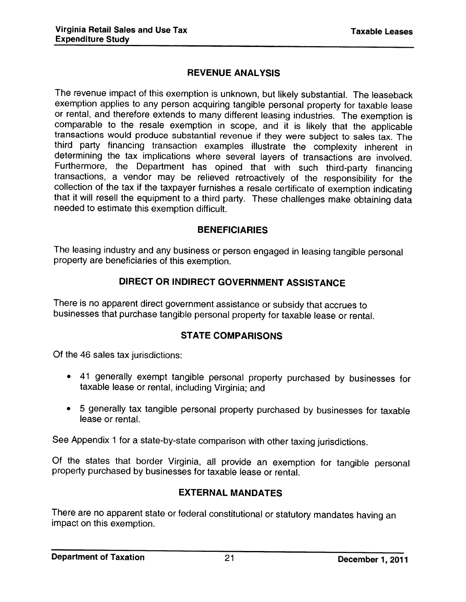## REVENUE ANALYSIS

The revenue impact of this exemption is unknown, but likely substantial. The leaseback exemption applies to any person acquiring tangible personal property for taxable lease or rental, and therefore extends to many different leasing industries. The exemption is comparable to the resale exemption in scope, and it is likely that the applicable transactions would produce substantial revenue if they were subject to sales tax. The determining the tax implications where several layers of transactions are involved.<br>Furthermore, the Department has opined that with such third-party financing transactions, a vendor may be relieved retroactively of the responsibility for the collection of the tax if the taxpayer furnishes a resale certificate of exemption indicating that it will resell the equipment to a third party. These challenges make obtaining data needed to estimate this exemption difficult.

#### BENEFICIARIES

The leasing industry and any business or person engaged in leasing tangible personal property are beneficiaries of this exemption.

## DIRECT OR INDIRECT GOVERNMENT ASSISTANCE

There is no apparent direct government assistance or subsidy that accrues to businesses that purchase tangible personal property for taxable lease or rental.

#### STATE COMPARISONS

Of the 46 sales tax jurisdictions:

- <sup>41</sup> generally exempt tangible personal property purchased by businesses for taxable lease or rental, including Virginia; and
- <sup>5</sup> generally tax tangible personal property purchased by businesses for taxable lease or rental.

See Appendix <sup>1</sup> for <sup>a</sup> state-by-state comparison with other taxing jurisdictions.

Of the states that border Virginia, all provide an exemption for tangible personal property purchased by businesses for taxable lease or rental.

## EXTERNAL MANDATES

There are no apparent state or federal constitutional or statutory mandates having an impact on this exemption.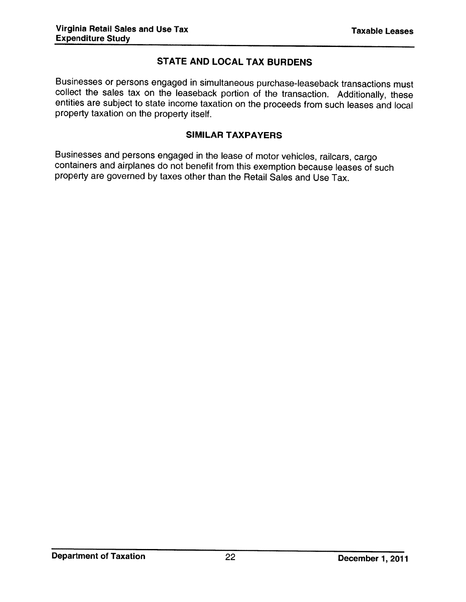## STATE AND LOCAL TAX BURDENS

Businesses or persons engaged in simultaneous purchase-leaseback transactions must collect the sales tax on the leaseback portion of the transaction. Additionally, these entities are subject to state income taxation on the proceeds from such leases and local property taxation on the property itself.

#### SIMILAR TAXPAYERS

Businesses and persons engaged in the lease of motor vehicles, railcars, cargo containers and airplanes do not benefit from this exemption because leases of such property are governed by taxes other than the Retail Sales and Use Tax.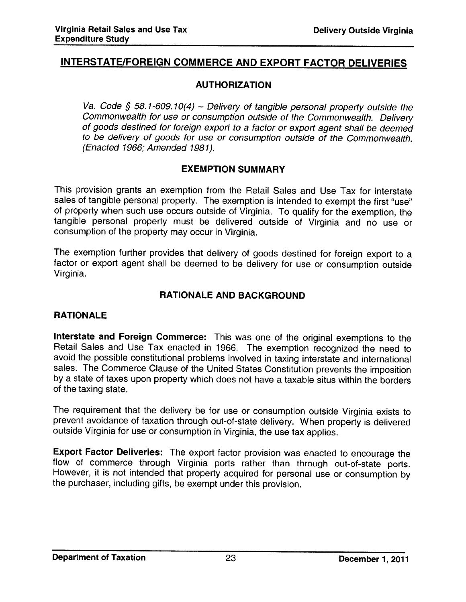## INTERSTATE/FOREIGN COMMERCE AND EXPORT FACTOR DELIVERIES

#### AUTHORIZATION

Va. Code § 58.1-609.10(4) - Delivery of tangible personal property outside the Commonwealth for use or consumption outside of the Commonwealth, Delivery of goods destined for foreign export to <sup>a</sup> factor or export agent shall be deemed to be delivery of goods for use or consumption outside of the Commonwealth. (Enacted 1966; Amended 1981).

#### EXEMPTION SUMMARY

This provision grants an exemption from the Retail Sales and Use Tax for interstate sales of tangible personal property. The exemption is intended to exempt the first "use" of property when such use occurs outside of Virginia. To qualify for the exemption, the tangible personal property must be delivered outside of Virginia and no use or consumption of the property may occur in Virginia.

The exemption further provides that delivery of goods destined for foreign expor<sup>t</sup> to <sup>a</sup> factor or expor<sup>t</sup> agent shall be deemed to be delivery for use or consumption outside Virginia.

#### RATIONALE AND BACKGROUND

#### RATIONALE

Interstate and Foreign Commerce: This was one of the original exemptions to the Retail Sales and Use Tax enacted in 1966. The exemption recognized the need to avoid the possible constitutional problems involved in taxing interstate and international sales. The Commerce Clause of the United States Constitution prevents the imposition by <sup>a</sup> state of taxes upon property which does not have <sup>a</sup> taxable situs within the borders of the taxing state.

The requirement that the delivery be for use or consumption outside Virginia exists to prevent avoidance of taxation through out-of-state delivery. When property is delivered outside Virginia for use or consumption in Virginia, the use tax applies.

Export Factor Deliveries: The expor<sup>t</sup> factor provision was enacted to encourage the flow of commerce through Virginia ports rather than through out-of-state ports. However, it is not intended that property acquired for personal use or consumption by the purchaser, including <sup>g</sup>ifts, be exempt under this provision.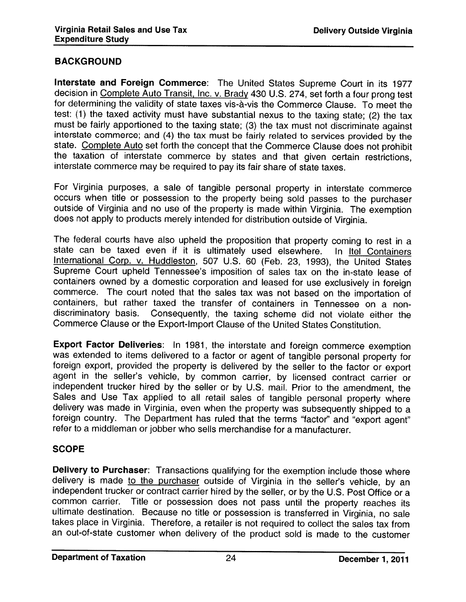#### BACKGROUND

Interstate and Foreign Commerce: The United States Supreme Court in its <sup>1977</sup> decision in <u>Complete Auto Transit, Inc. v. Brady</u> 430 U.S. 274, set forth a four prong test for determining the validity of state taxes vis-à-vis the Commerce Clause. To meet the test: (1) the taxed activity must have substantial nexus to the taxing state; (2) the tax must be fairly apportioned to the taxing state; (3) the tax must not discriminate against interstate commerce; and (4) the tax must be fairly related to services provided by the state. Complete Auto set forth the concept that the Commerce Clause does not prohibit the taxation of interstate commerce by states and that <sup>g</sup>iven certain restrictions. interstate commerce may be required to pay its fair share of state taxes.

For Virginia purposes, <sup>a</sup> sale of tangible personal property in interstate commerce occurs when title or possession to the property being sold passes to the purchaser outside of Virginia and no use of the property is made within Virginia. The exemption does not apply to products merely intended for distribution outside of Virginia.

The federal courts have also upheld the proposition that property coming to rest in a state can be taxed even if it is ultimately used elsewhere. In Itel Containers International Corp. v. Huddleston, <sup>507</sup> U.S. <sup>60</sup> (Feb. 23, 1993), the United States Supreme Court upheld Tennessee's imposition of sales tax on the in-state lease of containers owned by <sup>a</sup> domestic corporation and leased for use exclusively in foreign commerce. The court noted that the sales tax was not based on the importation of containers, but rather taxed the transfer of containers in Tennessee on a non discriminatory basis. Consequently, the taxing scheme did not violate either the Commerce Clause or the Export-Import Clause of the United States Constitution.

Export Factor Deliveries: In 1981, the interstate and foreign commerce exemption was extended to items delivered to a factor or agent of tangible personal property for foreign export, provided the property is delivered by the seller to the factor or export agent in the seller's vehicle, by common carrier, by licensed contract carrier or independent trucker hired by the seller or by U.S. mail. Prior to the amendment, the Sales and Use Tax applied to all retail sales of tangible personal property where delivery was made in Virginia, even when the property was subsequently shipped to a foreign country. The Department has ruled that the terms "factor" and "export agent" <sup>a</sup> middleman or jobber who sells merchandise for <sup>a</sup> manufacturer.

#### SCOPE

**Delivery to Purchaser**: Transactions qualifying for the exemption include those where delivery is made to the purchaser outside of Virginia in the seller's vehicle, by an delivery is made <u>to the purchaser</u> outside of Virginia in the seller's vehicle, by an<br>independent trucker or contract carrier hired by the seller, or by the U.S. Post Office or a common carrier. Title or possession does not pass until the property reaches its ultimate destination. Because no title or possession is transferred in Virginia, no sale takes place in Virginia. Therefore, <sup>a</sup> retailer is not required to collect the sales tax from an out-of-state customer when delivery of the product sold is made to the customer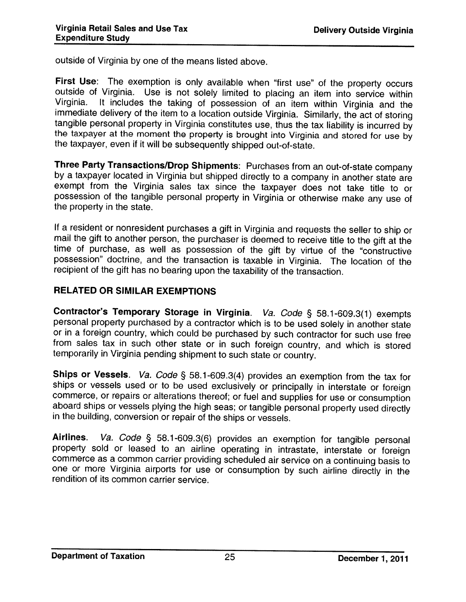outside of Virginia by one of the means listed above.

First Use: The exemption is only available when "first use" of the property occurs outside of Virginia. Use is not solely limited to placing an item into service within Virginia. It includes the taking of possession of an immediate delivery of the item to a location outside Virginia. Similarly, the act of storing tangible personal property in Virginia constitutes use, thus the tax liability is incurred by the taxpayer at the moment the prop

Three Party Transactions/Drop Shipments: Purchases from an out-of-state company by a taxpayer located in Virginia but shipped directly to a company in another state are exempt from the Virginia sales tax since the taxpayer does not take title to or possession of the tangible personal property in Virginia or otherwise make any use of the property in the state.

If a resident or nonresident purchases a gift in Virginia and requests the seller to ship or mail the gift to another person, the purchaser is deemed to receive title to the gift at the time of purchase, as well as possess possession" doctrine, and the transaction is taxable in Virginia. The location of the recipient of the <sup>g</sup>ift has no bearing upon the taxability of the transaction.

#### RELATED OR SIMILAR EXEMPTIONS

Contractor's Temporary Storage in Virginia. *Va. Code* § 58.1-609.3(1) exempts personal property purchased by a contractor which is to be used solely in another state or in <sup>a</sup> foreign country, which could be purchased by such contractor for such use free from sales tax in such other state or in such foreign country, and which is stored temporarily in Virginia pending shipment to such state or country.

**Ships or Vessels**. *Va. Code* § 58.1-609.3(4) provides an exemption from the tax for ships or vessels used or to be used exclusively or principally in interstate or foreign commerce, or repairs or alterations thereof; or aboard ships or vessels plying the high seas; or tangible personal property used directly in the building, conversion or repair of the ships or vessels.

Airlines. Va. Code § 58.1-609.3(6) provides an exemption for tangible personal property sold or leased to an airline operating in intrastate, interstate or foreign commerce as <sup>a</sup> common carrier providing scheduled air service on <sup>a</sup> continuing basis to one or more Virginia airports for use or consumption by such airline directly in the rendition of its common carrier service.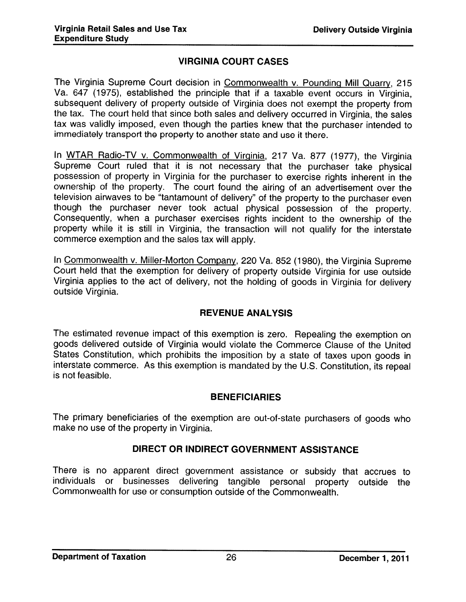#### VIRGINIA COURT CASES

The Virginia Supreme Court decision in Commonwealth v. Pounding Mill Quarry, <sup>215</sup> Va, <sup>647</sup> (1975), established the principle that if <sup>a</sup> taxable event occurs in Virginia, subsequent delivery of property outside of Virginia does not exempt the property from the tax. The court held that since both sales and delivery occurred in Virginia, the sales tax was validly imposed, even though the parties knew that the purchaser intended to immediately transport the property to another state and use it there.

In WTAR Radio-TV v. Commonwealth of Virginia, <sup>217</sup> Va. <sup>877</sup> (1977), the Virginia Supreme Court ruled that it is not necessary that the purchaser take <sup>p</sup>hysical possession of property in Virginia for the purchaser to exercise rights inherent in the ownership of the property. The court found the airing of an advertisement over the television airwaves to be "tantamount of delivery" of the property to the purchaser even though the purchaser never took actual <sup>p</sup>hysical possession of the property. Consequently, when <sup>a</sup> purchaser exercises rights incident to the ownership of the property while it is still in Virginia, the transaction will not qualify for the interstate commerce exemption and the sales tax will apply.

In Commonwealth v. Miller-Morton Company, <sup>220</sup> Va. <sup>852</sup> (1980), the Virginia Supreme Court held that the exemption for delivery of property outside Virginia for use outside Virginia applies to the act of delivery, not the holding of goods in Virginia for delivery outside Virginia.

#### REVENUE ANALYSIS

The estimated revenue impact of this exemption is zero. Repealing the exemption on goods delivered outside of Virginia would violate the Commerce Clause of the United States Constitution, which prohibits the imposition by <sup>a</sup> state of taxes upon goods in interstate commerce. As this exemption is mandated by the U.S. Constitution, its repea<sup>l</sup> is not feasible.

#### BENEFICIARIES

The primary beneficiaries of the exemption are out-of-state purchasers of goods who make no use of the property in Virginia.

#### DIRECT OR INDIRECT GOVERNMENT ASSISTANCE

There is no apparent direct government assistance or subsidy that accrues to individuals or businesses delivering tangible personal property outside the Commonwealth for use or consumption outside of the Commonwealth.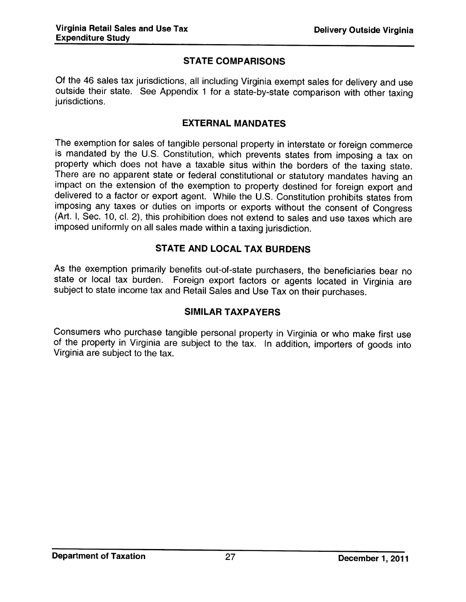#### STATE COMPARISONS

Of the <sup>46</sup> sales tax jurisdictions, all including Virginia exempt sales for delivery and use outside their state. See Appendix <sup>1</sup> for <sup>a</sup> state-by-state comparison with other taxing jurisdictions.

#### EXTERNAL MANDATES

The exemption for sales of tangible personal property in interstate or foreign commerce is mandated by the U.S. Constitution, which prevents states from imposing a tax on property which does not have a taxable situs within There are no apparent state or federal constitutional or statutory mandates having an impact on the extension of the exemption to property destined for foreign export and delivered to a factor or export agent. While the U. imposed uniformly on all sales made within <sup>a</sup> taxing jurisdiction.

#### STATE AND LOCAL TAX BURDENS

As the exemption primarily benefits out-of-state purchasers, the beneficiaries bear no state or local tax burden. Foreign export factors or agents located in Virginia are subject to state income tax and Retail Sales and Use Tax on their purchases.

#### SIMILAR TAXPAYERS

Consumers who purchase tangible personal property in Virginia or who make first use of the property in Virginia are subject to the tax. In addition, importers of goods into Virginia are subject to the tax.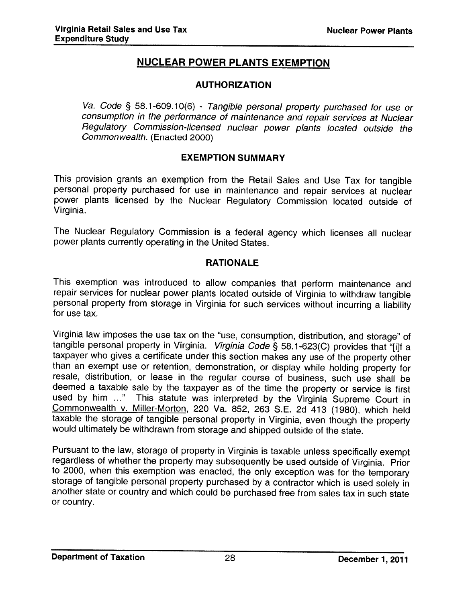## NUCLEAR POWER PLANTS EXEMPTION

#### AUTHORIZATION

Va. Code § 58.1-609.10(6) - Tangible personal property purchased for use or consumption in the performance of maintenance and repair services at Nuclear Regulatory Commission-licensed nuclear power <sup>p</sup>lants located outside the Commonwealth. (Enacted 2000)

#### EXEMPTION SUMMARY

This provision grants an exemption from the Retail Sales and Use Tax for tangible personal property purchased for use in maintenance and repair services at nuclear power <sup>p</sup>lants licensed by the Nuclear Regulatory Commission located outside of Virginia.

The Nuclear Regulatory Commission is <sup>a</sup> federal agency which licenses all nuclear power <sup>p</sup>lants currently operating in the United States.

#### RATIONALE

This exemption was introduced to allow companies that perform maintenance and<br>repair services for nuclear power plants located outside of Virginia to withdraw tangible personal property from storage in Virginia for such services without incurring a liability for use tax.

Virginia law imposes the use tax on the "use, consumption, distribution, and storage" of tangible personal property in Virginia. *Virginia Code* § 58.1-623(C) provides that "[i]f a taxpayer who gives a certificate under th than an exempt use or retention, demonstration, or display while holding property for resale, distribution, or lease in the regular course of business, such use shall be deemed <sup>a</sup> taxable sale by the taxpayer as of the time the property or service is first used by him ..." This statute was interpreted by the Virginia Supreme Court in Commonwealth v. Miller-Morton, 220 Va. 852, 263 S.E. 2d 413 (1980), which held taxable the storage of tangible personal property in Virginia, even though the property would ultimately be withdrawn from storage and shipped outside of the state.

Pursuant to the law, storage of property in Virginia is taxable unless specifically exempt regardless of whether the property may subsequently be used outside of Virginia. Prior to 2000, when this exemption was enacted, the only exception was for the temporary<br>storage of tangible personal property purchased by a contractor which is used solely in another state or country and which could be purchased free from sales tax in such state or country.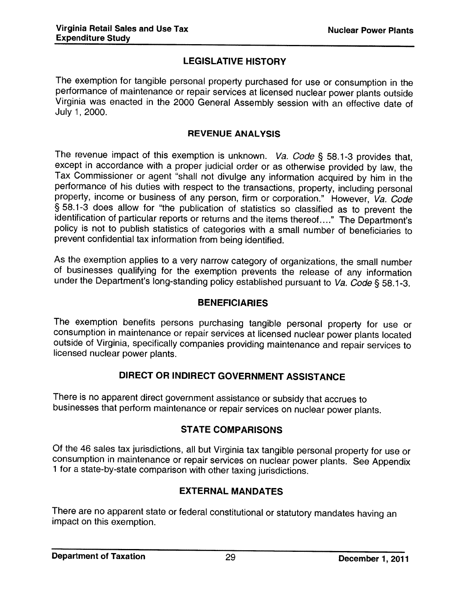## LEGISLATIVE HISTORY

The exemption for tangible personal property purchased for use or consumption in the performance of maintenance or repair services at licensed nuclear power plants outside Virginia was enacted in the 2000 General Assembly session with an effective date of July 1, 2000.

#### REVENUE ANALYSIS

The revenue impact of this exemption is unknown. Va. Code § 58.1-3 provides that, except in accordance with a proper judicial order or as otherwise provided by law, the Tax Commissioner or agent "shall not divulge any inf performance of his duties with respect to the transactions, property, including personal property, income or business of any person, firm or corporation." However, Va. Code § 58.1-3 does allow for "the publication of statistics so classified as to prevent the identification of particular reports or returns and the items thereof...." The Department's policy is not to publish statistics of categories with <sup>a</sup> small number of beneficiaries to prevent confidential tax information from being identified.

As the exemption applies to a very narrow category of organizations, the small number of businesses qualifying for the exemption prevents the release of any information under the Department's long-standing policy established pursuant to Va. Code § 58.1-3.

#### BENEFICIARIES

The exemption benefits persons purchasing tangible personal property for use or consumption in maintenance or repair services at licensed nuclear power plants located outside of Virginia, specifically companies providing m

#### DIRECT OR INDIRECT GOVERNMENT ASSISTANCE

There is no apparent direct government assistance or subsidy that accrues to businesses that perform maintenance or repair services on nuclear power <sup>p</sup>lants.

## STATE COMPARISONS

Of the 46 sales tax jurisdictions, all but Virginia tax tangible personal property for use or consumption in maintenance or repair services on nuclear power plants. See Appendix 1 for a state-by-state comparison with other

#### EXTERNAL MANDATES

There are no apparent state or federal constitutional or statutory mandates having an impact on this exemption.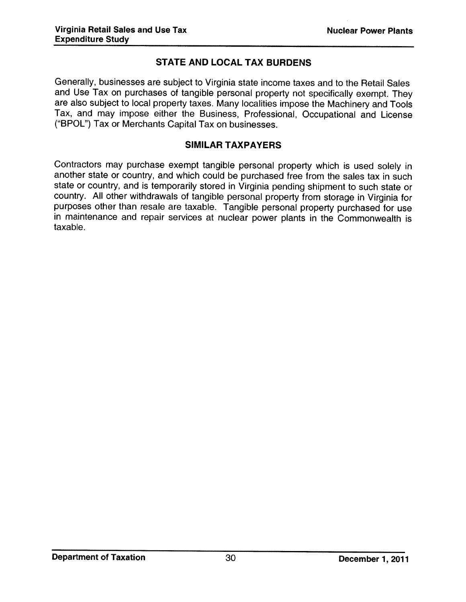#### STATE AND LOCAL TAX BURDENS

Generally, businesses are subject to Virginia state income taxes and to the Retail Sales and Use Tax on purchases of tangible personal property not specifically exempt. They are also subject to local property taxes. Many localities impose the Machinery and Tools Tax, and may impose either the Business, Professional, Occupational and License ("BPOL") Tax or Merchants Capital Tax on businesses.

#### SIMILAR TAXPAYERS

Contractors may purchase exempt tangible personal property which is used solely in another state or country, and which could be purchased free from the sales tax in such state or country, and is temporarily stored in Virginia pending shipment to such state or country. All other withdrawals of tangible personal property from storage in Virginia for purposes other than resale are taxable. Tangible personal property purchased for use in maintenance and repair services at nuclear power <sup>p</sup>lants in the Commonwealth is taxable.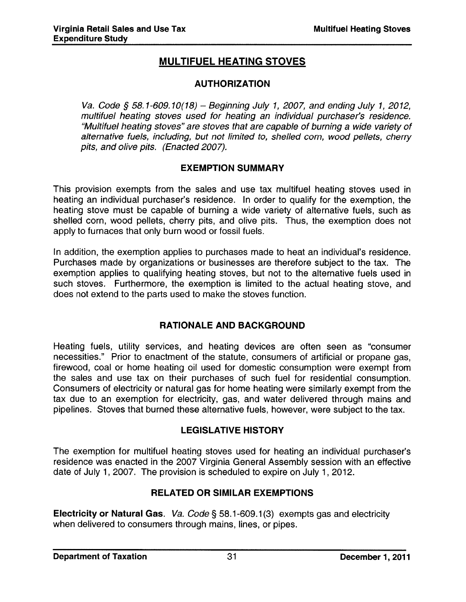## MULTIFUEL HEATING STOVES

#### AUTHORIZATION

Va, Code § 58.1-609.10(18) — Beginning July 1, <sup>2007</sup> and ending July 1, 2012, multifuel heating stoves used for heating an individual purchaser's residence. "Multifuel heating stoves" are stoves that are capable of burning <sup>a</sup> wide variety of alternative fuels, including, but not limited to, shelled corn, wood pellets, cherry pits, and olive pits. (Enacted 2007).

#### EXEMPTION SUMMARY

This provision exempts from the sales and use tax multifuel heating stoves used in heating an individual purchaser's residence. In order to qualify for the exemption, the heating stove must be capable of burning <sup>a</sup> wide variety of alternative fuels, such as shelled corn, wood pellets, cherry pits, and olive pits. Thus, the exemption does not apply to furnaces that only burn wood or fossil fuels.

In addition, the exemption applies to purchases made to heat an individual's residence. Purchases made by organizations or businesses are therefore subject to the tax. The exemption applies to qualifying heating stoves, but not to the alternative fuels used in such stoves. Furthermore, the exemption is limited to the actual heating stove, and does not extend to the parts used to make the stoves function.

#### RATIONALE AND BACKGROUND

Heating fuels, utility services, and heating devices are often seen as "consumer necessities." Prior to enactment of the statute, consumers of artificial or propane gas, firewood, coal or home heating oil used for domestic consumption were exemp<sup>t</sup> from the sales and use tax on their purchases of such fuel for residential consumption. Consumers of electricity or natural gas for home heating were similarly exemp<sup>t</sup> from the tax due to an exemption for electricity, gas, and water delivered through mains and pipelines. Stoves that burned these alternative fuels, however, were subject to the tax.

#### LEGISLATIVE HISTORY

The exemption for multifuel heating stoves used for heating an individual purchaser's residence was enacted in the 2007 Virginia General Assembly session with an effective date of July 1, 2007. The provision is scheduled to expire on July 1, 2012.

#### RELATED OR SIMILAR EXEMPTIONS

Electricity or Natural Gas. Va. Code § 58.1-609.1(3) exempts gas and electricity when delivered to consumers through mains, lines, or pipes.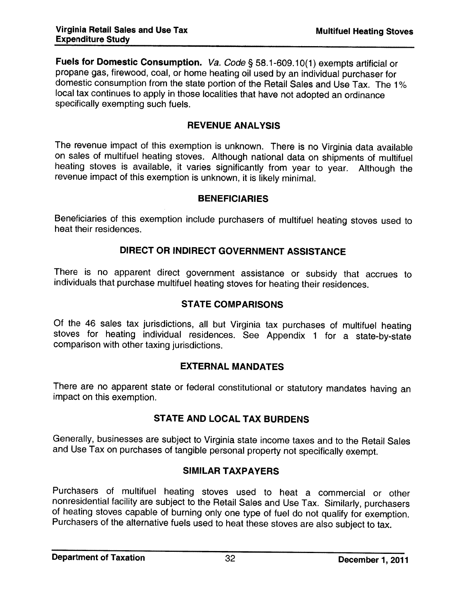Fuels for Domestic Consumption. Va. Code § 58.1-609.10(1) exempts artificial or propane gas, firewood, coal, or home heating oil used by an individual purchaser for domestic consumption from the state portion of the Retail Sales and Use Tax. The 1% local tax continues to apply in those localities that have not adopted an ordinance specifically exempting such fuels.

#### REVENUE ANALYSIS

The revenue impact of this exemption is unknown. There is no Virginia data available on sales of multifuel heating stoves. Although national data on shipments of multifuel heating stoves is available, it varies significantly from year to year. Although the revenue impact of this exemption is unknown, it is likely minimal.

#### BENEFICIARIES

Beneficiaries of this exemption include purchasers of multifuel heating stoves used to heat their residences.

#### DIRECT OR INDIRECT GOVERNMENT ASSISTANCE

There is no apparent direct government assistance or subsidy that accrues to individuals that purchase multifuel heating stoves for heating their residences.

#### STATE COMPARISONS

Of the <sup>46</sup> sales tax jurisdictions, all but Virginia tax purchases of multifuel heating stoves for heating individual residences. See Appendix 1 for a state-by-state comparison with other taxing jurisdictions.

#### EXTERNAL MANDATES

There are no apparent state or federal constitutional or statutory mandates having an impact on this exemption.

#### STATE AND LOCAL TAX BURDENS

Generally, businesses are subject to Virginia state income taxes and to the Retail Sales and Use Tax on purchases of tangible personal property not specifically exempt.

#### SIMILAR TAXPAYERS

Purchasers of multifuel heating stoves used to heat a commercial or other nonresidential facility are subject to the Retail Sales and Use Tax. Similarly, purchasers of heating stoves capable of burning only one type of fuel do not qualify for exemption.<br>Purchasers of the alternative fuels used to heat these stoves are also subject to tax.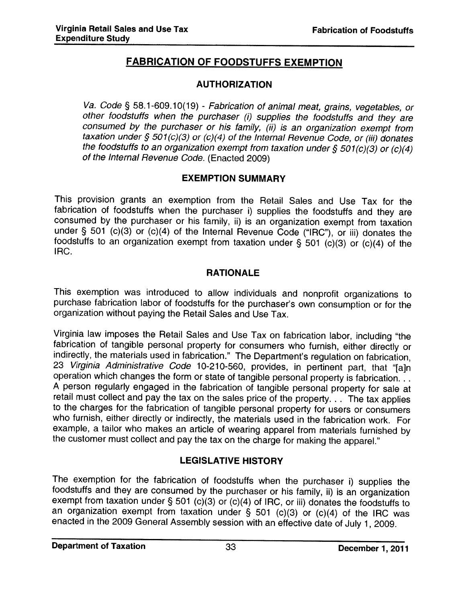## FABRICATION OF FOODSTUFFS EXEMPTION

#### AUTHORIZATION

Va. Code § 58.1-609.10(19) - Fabrication of animal meat, grains, vegetables, or other foodstuffs when the purchaser (i) supplies the foodstuffs and they are consumed by the purchaser or his family, (ii) is an organization exempt from taxation under § 501(c)(3) or (c)(4) of the Internal Revenue Code, or (iii) donates the foodstuffs to an organization exempt from taxation under

#### EXEMPTION SUMMARY

This provision grants an exemption from the Retail Sales and Use Tax for the fabrication of foodstuffs when the purchaser i) supplies the foodstuffs and they are consumed by the purchaser or his family, ii) is an organization exempt from taxation under § 501 (c)(3) or (c)(4) of the Internal Revenue Code ("IRC"), or iii) donates the foodstuffs to an organization exempt from taxation under § 501 (c)(3) or (c)(4) of the IRC.

#### RATIONALE

This exemption was introduced to allow individuals and nonprofit organizations to purchase fabrication labor of foodstuffs for the purchaser's own consumption or for the organization without paying the Retail Sales and Use Tax.

Virginia law imposes the Retail Sales and Use Tax on fabrication labor, including "the fabrication of tangible personal property for consumers who furnish, either directly or indirectly, the materials used in fabrication." operation which changes the form or state of tangible personal property is fabrication...<br>A person regularly engaged in the fabrication of tangible personal property for sale at<br>retail must collect and pay the tax on the s to the charges for the fabrication of tangible personal property for users or consumers who furnish, either directly or indirectly, the materials used in the fabrication work. For example, a tailor who makes an article of wearing apparel from materials furnished by the customer must collect and pay the tax on the charge for making the apparel."

## LEGISLATIVE HISTORY

The exemption for the fabrication of foodstuffs when the purchaser i) supplies the foodstuffs and they are consumed by the purchaser or his family, ii) is an organization exempt from taxation under § 501 (c)(3) or (c)(4) of IRC, or iii) donates the foodstuffs to<br>an organization exempt from taxation under § 501 (c)(3) or (c)(4) of the IRC was enacted in the 2009 General Assembly session with an effective date of July 1, 2009.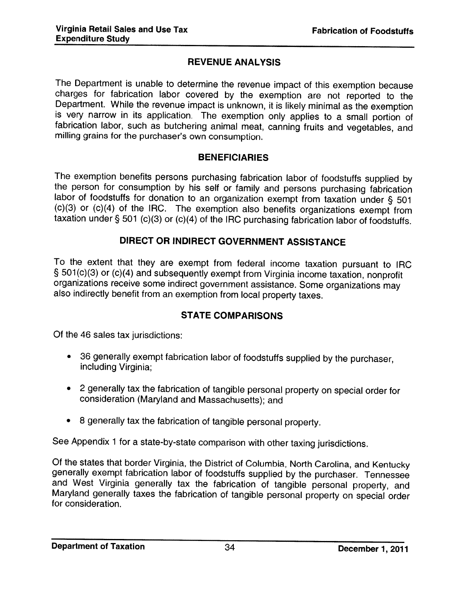## REVENUE ANALYSIS

The Department is unable to determine the revenue impact of this exemption because charges for fabrication labor covered by the exemption are not reported to the Department. While the revenue impact is unknown, it is likel

#### BENEFICIARIES

The exemption benefits persons purchasing fabrication labor of foodstuffs supplied by<br>the person for consumption by his self or family and persons purchasing fabrication<br>labor of foodstuffs for donation to an organization

#### DIRECT OR INDIRECT GOVERNMENT ASSISTANCE

To the extent that they are exempt from federal income taxation pursuant to IRC § 501(c)(3) or (c)(4) and subsequently exempt from Virginia income taxation, nonprofit organizations receive some indirect government assistance. Some organizations may also indirectly benefit from an exemption from local property taxes.

## STATE COMPARISONS

Of the 46 sales tax jurisdictions:

- <sup>36</sup> generally exempt fabrication labor of foodstuffs supplied by the purchaser, including Virginia;
- <sup>2</sup> generally tax the fabrication of tangible personal property on special order for consideration (Maryland and Massachusetts); and
- <sup>8</sup> generally tax the fabrication of tangible personal property.

See Appendix <sup>1</sup> for <sup>a</sup> state-by-state comparison with other taxing jurisdictions.

Of the states that border Virginia, the District of Columbia, North Carolina, and Kentucky generally exempt fabrication labor of foodstuffs supplied by the purchaser. Tennessee and West Virginia generally tax the fabricati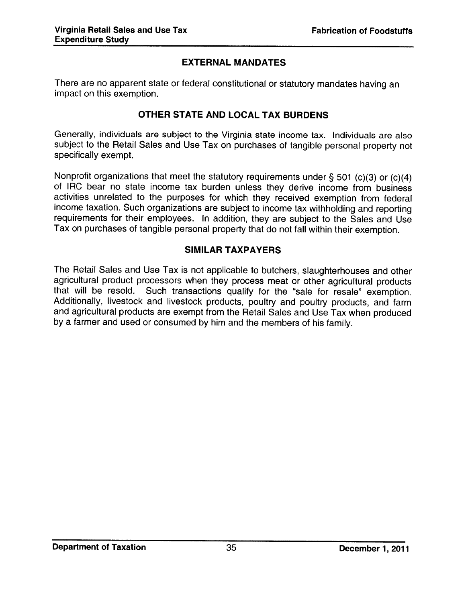#### EXTERNAL MANDATES

There are no apparent state or federal constitutional or statutory mandates having an impact on this exemption.

#### OTHER STATE AND LOCAL TAX BURDENS

Generally, individuals are subject to the Virginia state income tax. Individuals are also subject to the Retail Sales and Use Tax on purchases of tangible personal property not specifically exempt.

Nonprofit organizations that meet the statutory requirements under § 501 (c)(3) or (c)(4) of IRC bear no state income tax burden unless they derive income from business activities unrelated to the purposes for which they received exemption from federal income taxation. Such organizations are subject to income tax withholding and reporting requirements for their employees. In addition, they are subject to the Sales and Use Tax on purchases of tangible personal property that do not fall within their exemption.

#### SIMILAR TAXPAYERS

The Retail Sales and Use Tax is not applicable to butchers, slaughterhouses and other agricultural product processors when they process meat or other agricultural products<br>that will be resold. Such transactions qualify for the "sale for resale" exemption Such transactions qualify for the "sale for resale" exemption. Additionally, livestock and livestock products, poultry and poultry products, and farm and agricultural products are exempt from the Retail Sales and Use Tax when produced by <sup>a</sup> farmer and used or consumed by him and the members of his family.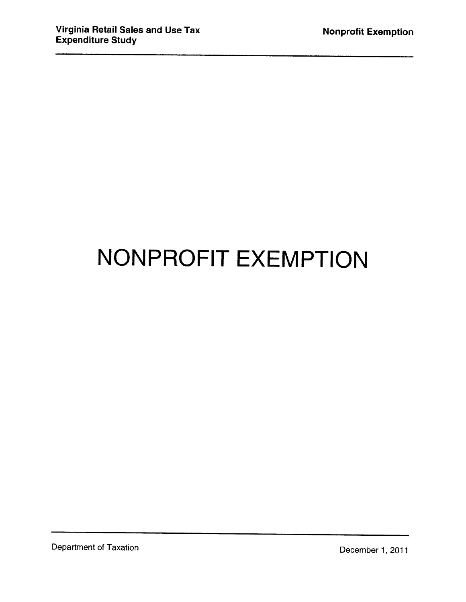## NONPROFIT EXEMPTION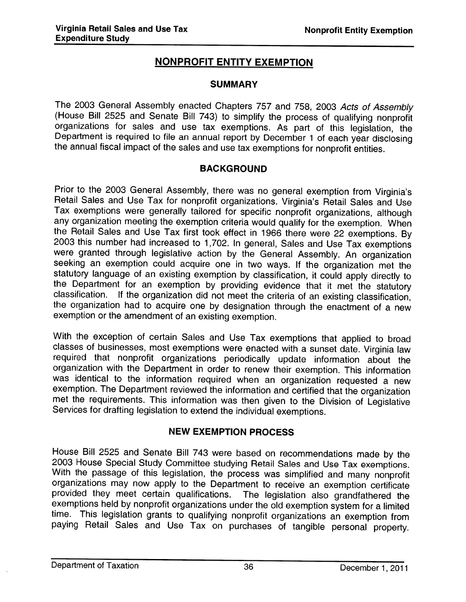## NONPROFIT ENTITY EXEMPTION

#### **SUMMARY**

The 2003 General Assembly enacted Chapters 757 and 758, 2003 Acts of Assembly (House Bill 2525 and Senate Bill 743) to simplify the process of qualifying nonprofit organizations for sales and use tax exemptions. As part of Department is required to file an annual report by December 1 of each year disclosing<br>the annual fiscal impact of the sales and use tax exemptions for nonprofit entities.

#### BACKGROUND

Prior to the <sup>2003</sup> General Assembly, there was no general exemption from Virginia's Retail Sales and Use Tax for nonprofit organizations. Virginia's Retail Sales and Use Tax exemptions were generally tailored for specific nonprofit organizations, although<br>any organization meeting the exemption criteria would qualify for the exemption. When the Retail Sales and Use Tax first took effect in 1966 there were 22 exemptions. By 2003 this number had increased to 1,702. In general, Sales and Use Tax exemptions were granted through legislative action by the General A seeking an exemption could acquire one in two ways. If the organization met the<br>statutory language of an existing exemption by classification, it could apply directly to the Department for an exemption by providing evidence that it met the statutory classification. If the organization did not meet the criteria of an existing classification, the organization had to acquire one by designatio exemption or the amendment of an existing exemption.

With the exception of certain Sales and Use Tax exemptions that applied to broad classes of businesses, most exemptions were enacted with a sunset date. Virginia law required that nonprofit organizations periodically update information about the organization with the Department in order to renew their exemption. This information exemption. The Department reviewed the information and certified that the organization met the requirements. This information was then <sup>g</sup>iven to the Division of Legislative Services for drafting legislation to extend the individual exemptions.

#### NEW EXEMPTION PROCESS

House Bill 2525 and Senate Bill 743 were based on recommendations made by the 2003 House Special Study Committee studying Retail Sales and Use Tax exemptions.<br>With the passage of this legislation, the process was simplifie provided they meet certain qualifications. The legislation also grandfathered the exemptions held by nonprofit organizations under the old exemption system for a limited time. This legislation grants to qualifying nonprofi paying Retail Sales and Use Tax on purchases of tangible personal property.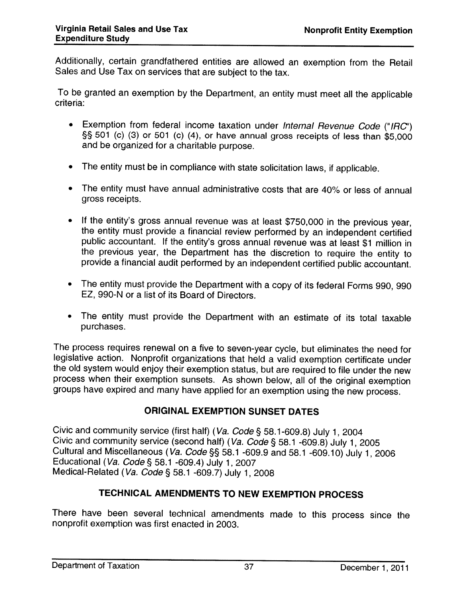Additionally, certain grandfathered entities are allowed an exemption from the Retail Sales and Use Tax on services that are subject to the tax.

To be granted an exemption by the Department, an entity must meet all the applicable criteria:

- Exemption from federal income taxation under *Internal Revenue Code* ("IRC") §§ 501 (c) (3) or 501 (c) (4), or have annual gross receipts of less than \$5,000 and be organized for <sup>a</sup> charitable purpose.
- The entity must be in compliance with state solicitation laws, if applicable.
- The entity must have annual administrative costs that are 40% or less of annual gross receipts.
- If the entity's gross annual revenue was at least \$750,000 in the previous year, the entity must provide a financial review performed by an independent certified public accountant. If the entity's gross annual revenue was at least \$1 million in the previous year, the Department has the discretion to require the entity to provide <sup>a</sup> financial audit performed by an independent certified public accountant.
- The entity must provide the Department with <sup>a</sup> copy of its federal Forms 990, <sup>990</sup> EZ, 990-N or <sup>a</sup> list of its Board of Directors.
- The entity must provide the Department with an estimate of its total taxable purchases.

The process requires renewal on <sup>a</sup> five to seven-year cycle, but eliminates the need for legislative action. Nonprofit organizations that held <sup>a</sup> valid exemption certificate under the old system would enjoy their exemption status, but are required to file under the new process when their exemption sunsets. As shown below, all of the original exemption groups have expired and many have applied for an exemption using the new process.

#### ORIGINAL EXEMPTION SUNSET DATES

Civic and community service (first half) (Va. Code § 58.1-609.8) July 1, 2004<br>Civic and community service (second half) (Va. Code § 58.1 -609.8) July 1, 2005<br>Cultural and Miscellaneous (Va. Code §§ 58.1 -609.9 and 58.1 -60 Educational (Va. Code § 58.1 -609.4) July 1, 2007 Medical-Related (Va. Code § 58.1 -609.7) July 1, <sup>2008</sup>

## TECHNICAL AMENDMENTS TO NEW EXEMPTION PROCESS

There have been several technical amendments made to this process since the nonprofit exemption was first enacted in 2003.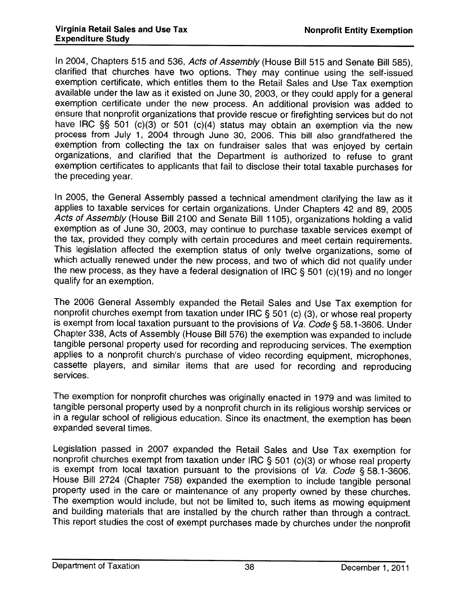In 2004, Chapters 515 and 536, Acts of Assembly (House Bill 515 and Senate Bill 585). clarified that churches have two options. They may continue using the self-issued exemption certificate, which entitles them to the Retail Sales and Use Tax exemption available under the law as it existed on June 30, 2003, or they could apply for <sup>a</sup> general exemption certificate under the new process. An additional provision was added to ensure that nonprofit organizations that provide rescue or firefighting services but do not have IRC § <sup>501</sup> (c)(3) or <sup>501</sup> (c)(4) status may obtain an exemption via the new process from July 1, <sup>2004</sup> through June 30, 2006. This bill also grandfathered the exemption from collecting the tax on fundraiser sales that was enjoyed by certain organizations, and clarified that the Department is authorized to refuse to grant exemption certificates to applicants that fail to disclose their total taxable purchases for the preceding year.

In 2005, the General Assembly passed <sup>a</sup> technical amendment clarifying the law as it applies to taxable services for certain organizations. Under Chapters <sup>42</sup> and 89, <sup>2005</sup> A*cts of Assembly* (House Bill 2100 and Senate Bill 1105), organizations holding a valid exemption as of June 30, 2003, may continue to purchase taxable services exempt of the tax, provided they comply with certain procedures and meet certain requirements. This legislation affected the exemption status of only twelve organizations, some of which actually renewed under the new process, and two of which did not qualify under which actually renewed under the new process, and two of which did not qualify under<br>the new process, as they have a federal designation of IRC § 501 (c)(19) and no longer qualify for an exemption.

The 2006 General Assembly expanded the Retail Sales and Use Tax exemption for nonprofit churches exempt from taxation under IRC § 501 (c) (3), or whose real property is exempt from local taxation pursuant to the provisions of Va. Code § 58.1-3606. Under<br>Chapter 338, Acts of Assembly (House Bill 576) the exemption was expanded to include tangible personal property used for recording and reproducing services. The exemption applies to <sup>a</sup> nonprofit church's purchase of video recording equipment, microphones, cassette <sup>p</sup>layers, and similar items that are used for recording and reproducing services.

The exemption for nonprofit churches was originally enacted in <sup>1979</sup> and was limited to tangible personal property used by a nonprofit church in its religious worship services or<br>in a regular school of religious education. Since its enactment, the exemption has been in a regular school of religious education. Since its enactment, the exemption has been expanded several times.

Legislation passed in 2007 expanded the Retail Sales and Use Tax exemption for<br>nonprofit churches exempt from taxation under IRC § 501 (c)(3) or whose real property is exempt from local taxation pursuant to the provisions of Va. Code § 58.1-3606.<br>House Bill 2724 (Chapter 758) expanded the exemption to include tangible personal property used in the care or maintenance of any property owned by these churches.<br>The exemption would include, but not be limited to, such items as mowing equipment The exemption would include, but not be limited to, such items as mowing equipment<br>and building materials that are installed by the church rather than through a contract. This report studies the cost of exempt purchases made by churches under the nonprofit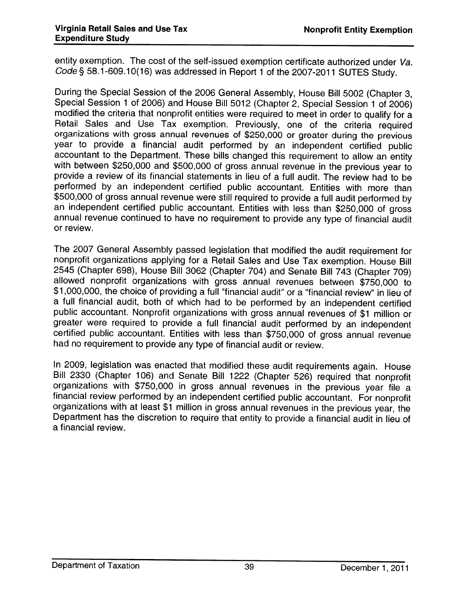entity exemption. The cost of the self-issued exemption certificate authorized under Va. Code § 58.1-609.10(16) was addressed in Report 1 of the 2007-2011 SUTES Study.

During the Special Session of the <sup>2006</sup> General Assembly, House Bill <sup>5002</sup> (Chapter 3, Special Session <sup>1</sup> of 2006) and House Bill <sup>5012</sup> (Chapter 2, Special Session <sup>1</sup> of 2006) modified the criteria that nonprofit entities were required to meet in order to qualify for <sup>a</sup> Retail Sales and Use Tax exemption. Previously, one of the criteria required organizations with gross annual revenues of \$250,000 or greater during the previous year to provide a financial audit performed by an independent certified public<br>accountant to the Department. These bills changed this requirement to allow an entity with between \$250,000 and \$500,000 of gross annual revenue in the previous year to provide <sup>a</sup> review of its financial statements in lieu of <sup>a</sup> full audit. The review had to be performed by an independent certified public accountant. Entities with more than \$500,000 of gross annual revenue were still required to provide <sup>a</sup> full audit performed by an independent certified public accountant. Entities with less than \$250,000 of gross annual revenue continued to have no requirement to provide any type of financial audit or review.

The <sup>2007</sup> General Assembly passed legislation that modified the audit requirement for nonprofit organizations applying for <sup>a</sup> Retail Sales and Use Tax exemption. House Bill allowed nonprofit organizations with gross annual revenues between \$750,000 to \$1,000,000, the choice of providing a full "financial audit" or a "financial review" in lieu of <sup>a</sup> full financial audit, both of which had to be performed by an independent certified public accountant. Nonprofit organizations with gross annual revenues of \$1 million or greater were required to provide <sup>a</sup> full financial audit performed by an independent certified public accountant. Entities with less than \$750,000 of gross annual revenue had no requirement to provide any type of financial audit or review.

In 2009, legislation was enacted that modified these audit requirements again. House Bill <sup>2330</sup> (Chapter 106) and Senate Bill <sup>1222</sup> (Chapter 526) required that nonprofit financial review performed by an independent certified public accountant. For nonprofit organizations with at least \$1 million in gross annual revenues in the previous year, the Department has the discretion to require that entity to provide <sup>a</sup> financial audit in lieu of <sup>a</sup> financial review.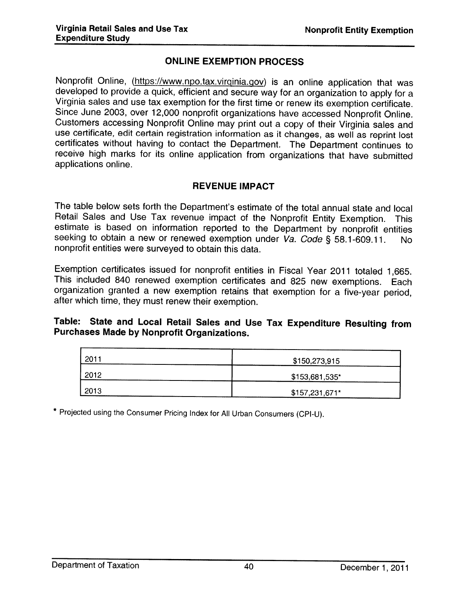#### ONLINE EXEMPTION PROCESS

Nonprofit Online, (https://www.npo.tax.virginia.gov) is an online application that was developed to provide a quick, efficient and secure way for an organization to apply for a Virginia sales and use tax exemption for the first time or renew its exemption certificate. Since June 2003, over 12,000 nonprofit organizations have accessed Nonprofit Online. Customers accessing Nonprofit Online may print out <sup>a</sup> copy of their Virginia sales and certificates without having to contact the Department. The Department continues to receive high marks for its online application from organizations that have submitted applications online.

#### REVENUE IMPACT

The table below sets forth the Department's estimate of the total annual state and local Retail Sales and Use Tax revenue impact of the Nonprofit Entity Exemption. This estimate is based on information reported to the Department by nonprofit entities seeking to obtain a new or renewed exemption under Va. Code § 58.1-609.11. No nonprofit entities were surveyed to obtain this data.

Exemption certificates issued for nonprofit entities in Fiscal Year <sup>2011</sup> totaled 1,665. This included <sup>840</sup> renewed exemption certificates and <sup>825</sup> new exemptions. Each organization granted <sup>a</sup> new exemption retains that exemption for <sup>a</sup> five-year period, after which time, they must renew their exemption.

## Table: State and Local Retail Sales and Use Tax Expenditure Resulting from Purchases Made by Nonprofit Organizations.

| 2011 | \$150,273,915  |
|------|----------------|
| 2012 | \$153,681,535* |
| 2013 | \$157,231,671* |

\* Projected using the Consumer Pricing Index for All Urban Consumers (CPI-U).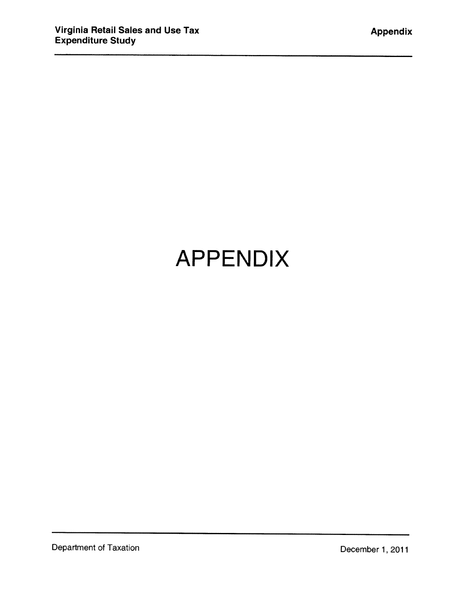## APPENDIX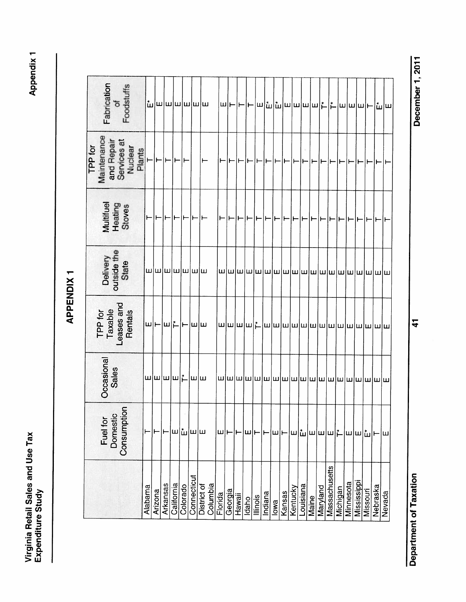Virginia Retail Sales and Use Tax<br>Fundamental Sales and Use Tax Virginia Retail Sales and Use Tax<br>Expenditure Study Expenditure Study

**Appendix 1** 

| Fabrication<br>of<br>Foodstuffs             |         |                                           |          |            |                              |             | $ \mathbf{\tilde{w}} $ ա $ \mathbf{w} $ ա $ \mathbf{w} $ ա |         |         |        |       |          |         |      |        |                                                                      |           |       |          |               |             |           |                   |          |          | $ \mathbf{u} $ ա $ \mathbf{h} $ ի   ա $ \mathbf{u} $ ա $ \mathbf{u} $ ա $ \mathbf{u} $ ա $ \mathbf{u} $ ա $ \mathbf{u} $ |
|---------------------------------------------|---------|-------------------------------------------|----------|------------|------------------------------|-------------|------------------------------------------------------------|---------|---------|--------|-------|----------|---------|------|--------|----------------------------------------------------------------------|-----------|-------|----------|---------------|-------------|-----------|-------------------|----------|----------|--------------------------------------------------------------------------------------------------------------------------|
| TPP for<br>Maintenance                      |         |                                           |          |            |                              |             | ∣⊢                                                         |         |         |        |       |          |         |      |        | ┆ <b>┍╌┆╾╎</b> ╾╎╾╎╾╎╾╎╾╎╾╎╾╎╾╎╾╎╾╎╾╎╾╎╾╎╾╎╾                         |           |       |          |               |             |           |                   |          |          |                                                                                                                          |
| Multifuel<br>Heating<br>Stoves              |         |                                           |          |            |                              |             | ╟╾║╼┥╾║╼┥╾┥                                                |         |         |        |       |          |         |      |        | │┝╾ <b>│┡╾│┡╾│┡╾╎┡╾╎</b> ╊╾║┲╾║┲╾║┲╾║                                |           |       |          |               | ⊢│⊢│⊢│⊢│⊢│⊢ |           |                   |          |          |                                                                                                                          |
| Delivery<br>outside the<br>State            |         | $ {\bf m} $ w $ {\bf m} $ w $ {\bf m} $ w |          |            |                              |             |                                                            |         |         |        |       |          |         |      |        |                                                                      |           |       |          |               |             |           |                   |          |          |                                                                                                                          |
| TPP for<br>Taxable<br>Leases and<br>Rentals |         | $ w $ – $ w $ լ – $ w $ ա                 |          |            |                              |             |                                                            |         |         |        |       |          |         |      |        |                                                                      |           |       |          |               |             |           |                   |          |          |                                                                                                                          |
| Occasional<br>Sales                         |         | $ $ ա $ $ ա $ $ ա $ $ լ $\bot$            |          |            |                              |             |                                                            |         |         |        |       |          |         |      |        |                                                                      |           |       |          |               |             |           |                   |          |          |                                                                                                                          |
| Domestic<br>Consumption<br>Fuel for         |         |                                           |          |            | $ {\sf m} $ ப் $ {\sf m} $ ய |             |                                                            | ш⊩      |         | ۲      | ш     |          | ۳       | ∣ш∣⊢ |        | $ \mathbf{w} $ ա $ \mathbf{w} $ ա $ \mathbf{w} $ իա $ \mathbf{w} $ ա |           |       |          |               |             |           |                   |          | $\vdash$ | lш                                                                                                                       |
| ÷,                                          | Alabama | Arizona                                   | Arkansas | California | Colorado                     | Connecticut | Columbia<br>District of                                    | Florida | Georgia | Hawaii | Idaho | lllinois | Indiana | lowa | Kansas | Kentucky                                                             | Louisiana | Maine | Maryland | Massachusetts | Michigan    | Minnesota | <b>Mississipp</b> | Missouri | Nebraska | Nevada                                                                                                                   |

December 1, 2011 Department of Taxation 41 And the Separation 41 And the Separation of Taxation Becember 1, 2011

 $\frac{4}{1}$ 

**Department of Taxation**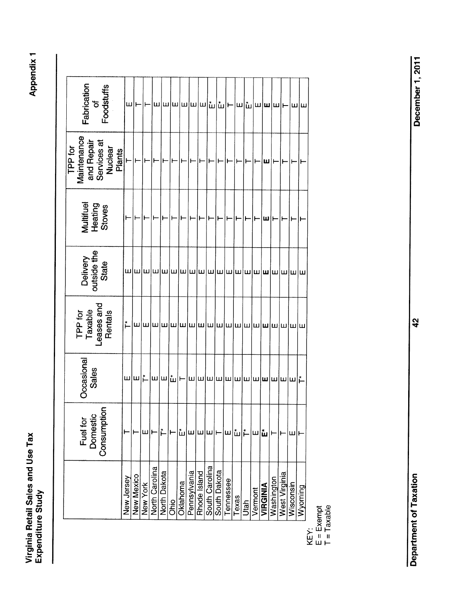Virginia Retail Sales and Use Tax<br>Expenditure Study Virginia Retail Sales and Use Tax<br>Expenditure Study

| Fabrication<br>of<br>Foodstuffs             |            | ш ⊢        |          |                       | $ \omega $ ա $ \omega $ ա $ \omega $ ա $ $ ա |      |          |              |                     |                                |       |           |       |      | $ $ ⊢ $ $ ա $ $ ա $ $ ա $ $ ա $ $ – $ $ ա $ $ ա                                                                |          |            |               |           |         |
|---------------------------------------------|------------|------------|----------|-----------------------|----------------------------------------------|------|----------|--------------|---------------------|--------------------------------|-------|-----------|-------|------|----------------------------------------------------------------------------------------------------------------|----------|------------|---------------|-----------|---------|
| TPP for                                     |            |            |          |                       | ┝╾║╼┥┝╾║┷                                    |      |          |              | $\vdash$            |                                | ⊢ ⊢ ⊢ |           |       | ļ⊢   |                                                                                                                | ∣ш       | I⊢         | I⊢            |           |         |
| Multifuel<br>Heating<br>Stoves              |            |            |          |                       | │⊢∣⊢ ⊢ ⊦                                     |      |          |              |                     | ∣⊢∣⊢                           |       |           |       | ⊩    | ⊩                                                                                                              | Įш       |            |               |           | ۳       |
| Delivery<br>outside the<br>State            |            |            |          |                       |                                              |      |          |              |                     |                                |       |           |       |      |                                                                                                                |          |            |               |           |         |
| TPP for<br>Taxable<br>Leases and<br>Rentals |            |            |          |                       |                                              |      |          |              |                     |                                |       |           |       |      |                                                                                                                |          |            |               |           |         |
| Occasional<br>Sales                         |            | ய∣ய∣‡      |          | $ \mathsf{m} $ ш      |                                              |      |          |              |                     |                                |       |           |       |      | $ \mathbf{\tilde{u}} $ ի– $ \mathbf{w} $ ա $ \mathbf{w} $ ա $ \mathbf{w} $ ա $ \mathbf{w} $ ա $ \mathbf{w} $ ա |          |            |               |           |         |
| Fuel for<br>Domestic<br>Consumption         |            |            | ш        |                       | Ě                                            |      | Ш        | ш            | Ιш                  | Ш                              |       | ш         | ш     | ţ,   | ш                                                                                                              | ш        |            |               | ш         |         |
|                                             | New Jersey | New Mexico | New York | <b>North Carolina</b> | North Dakota                                 | Ohio | Oklahoma | Pennsylvania | <b>Rhode Island</b> | South Carolina<br>South Dakota |       | Tennessee | Texas | Utah | Vermont                                                                                                        | VIRGINIA | Washington | West Virginia | Wisconsin | Wyoming |

KEY:<br>E = Exempt<br>T = Taxable

 $E = Exempt$  $T = T$ axable

Department of Taxation 42 Apple 1, 2011 **Department of Taxation**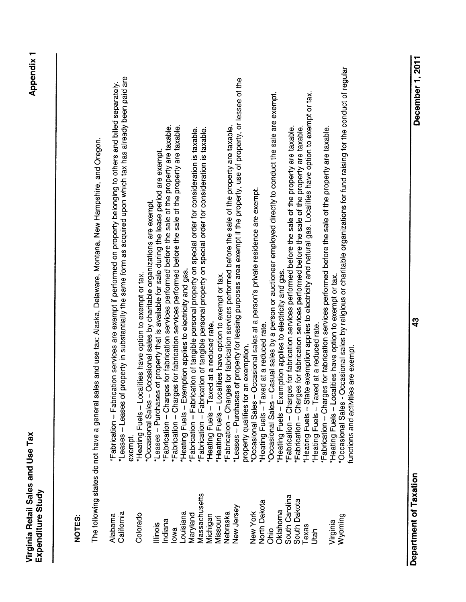| ،<br>٥<br>l |  |
|-------------|--|

# NOTES: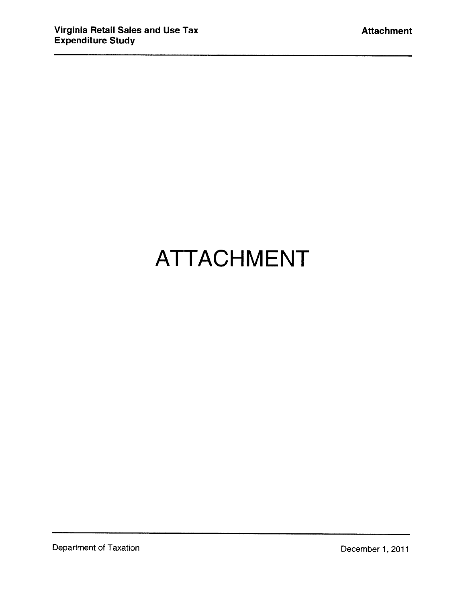## ATTACHMENT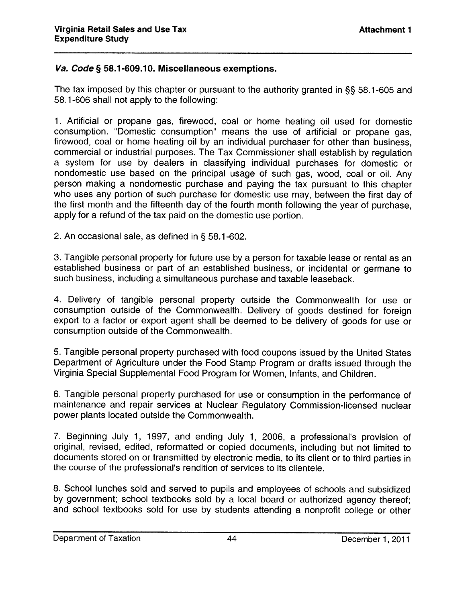#### Va. Code § 58.1-609.10. Miscellaneous exemptions.

The tax imposed by this chapter or pursuant to the authority granted in §§ 58.1-605 and 58.1-606 shall not apply to the following:

1. Artificial or propane gas, firewood, coal or home heating oil used for domestic consumption. "Domestic consumption" means the use of artificial or propane gas, firewood, coal or home heating oil by an individual purchaser for other than business, commercial or industrial purposes. The Tax Commissioner shall establish by regulation <sup>a</sup> system for use by dealers in classifying individual purchases for domestic or nondomestic use based on the principal usage of such gas, wood, coal or oil. Any person making <sup>a</sup> nondomestic purchase and paying the tax pursuant to this chapter who uses any portion of such purchase for domestic use may, between the first day of the first month and the fifteenth day of the fourth month following the year of purchase, apply for <sup>a</sup> refund of the tax paid on the domestic use portion.

2. An occasional sale, as defined in § 58.1-602.

3. Tangible personal property for future use by <sup>a</sup> person for taxable lease or rental as an established business or par<sup>t</sup> of an established business, or incidental or germane to such business, including <sup>a</sup> simultaneous purchase and taxable leaseback.

4. Delivery of tangible personal property outside the Commonwealth for use or consumption outside of the Commonwealth. Delivery of goods destined for foreign expor<sup>t</sup> to <sup>a</sup> factor or expor<sup>t</sup> agent shall be deemed to be delivery of goods for use or consumption outside of the Commonwealth.

5. Tangible personal property purchased with food coupons issued by the United States Department of Agriculture under the Food Stamp Program or drafts issued through the Virginia Special Supplemental Food Program for Women, Infants, and Children.

6. Tangible personal property purchased for use or consumption in the performance of maintenance and repair services at Nuclear Regulatory Commission-licensed nuclear power plants located outside the Commonwealth.

7. Beginning July 1, 1997, and ending July 1, 2006, <sup>a</sup> professional's provision of original, revised, edited, reformatted or copied documents, including but not limited to documents stored on or transmitted by electronic media, to its client or to third parties in the course of the professional's rendition of services to its clientele.

8. School lunches sold and served to pupils and employees of schools and subsidized by government; school textbooks sold by <sup>a</sup> local board or authorized agency thereof; and school textbooks sold for use by students attending <sup>a</sup> nonprofit college or other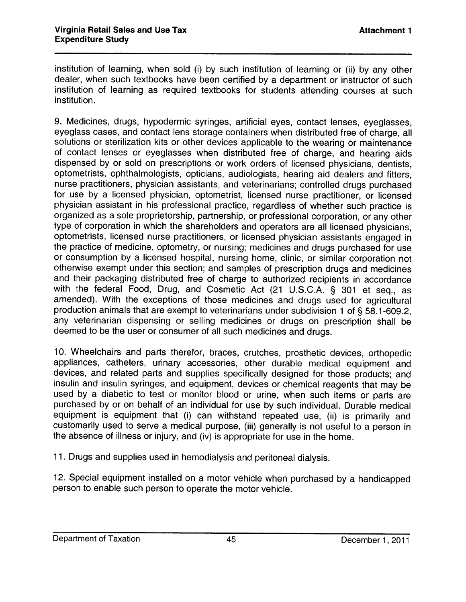institution of learning, when sold (i) by such institution of learning or (ii) by any other dealer, when such textbooks have been certified by <sup>a</sup> department or instructor of such institution of learning as required textbooks for students attending courses at such institution.

9. Medicines, drugs, hypodermic syringes, artificial eyes, contact lenses, eyeglasses, eyeglass cases, and contact lens storage containers when distributed free of charge, all solutions or sterilization kits or other devices applicable to the wearing or maintenance of contact lenses or eyeglasses when distributed free of charge, and hearing aids dispensed by or sold on prescriptions or work orders of licensed <sup>p</sup>hysicians, dentists, optometrists, ophthalmologists, opticians, audiologists, hearing aid dealers and fitters, nurse practitioners, <sup>p</sup>hysician assistants, and veterinarians; controlled drugs purchased for use by <sup>a</sup> licensed <sup>p</sup>hysician, optometrist, licensed nurse practitioner, or licensed <sup>p</sup>hysician assistant in his professional practice, regardless of whether such practice is organized as <sup>a</sup> sole proprietorship, partnership, or professional corporation, or any other type of corporation in which the shareholders and operators are all licensed <sup>p</sup>hysicians, optometrists, licensed nurse practitioners, or licensed <sup>p</sup>hysician assistants engaged in the practice of medicine, optometry, or nursing; medicines and drugs purchased for use or consumption by <sup>a</sup> licensed hospital, nursing home, clinic, or similar corporation not otherwise exempt under this section; and samples of prescription drugs and medicines and their packaging distributed free of charge to authorized recipients in accordance with the federal Food, Drug, and Cosmetic Act (21 U.S.C.A. § 301 et seq., as amended). With the exceptions of those medicines and drugs used for agricultural production animals that are exempt to veterinarians under subdivision <sup>1</sup> of § 58.1-609.2, any veterinarian dispensing or selling medicines or drugs on prescription shall be deemed to be the user or consumer of all such medicines and drugs.

10. Wheelchairs and parts therefor, braces, crutches, prosthetic devices, orthopedic appliances, catheters, urinary accessories, other durable medical equipment and devices, and related parts and supplies specifically designed for those products; and insulin and insulin syringes, and equipment, devices or chemical reagents that may be used by <sup>a</sup> diabetic to test or monitor blood or urine, when such items or parts are purchased by or on behalf of an individual for use by such individual. Durable medical equipment is equipment that (i) can withstand repeated use, (ii) is primarily and customarily used to serve <sup>a</sup> medical purpose, (iii) generally is not useful to <sup>a</sup> person in the absence of illness or injury, and (iv) is appropriate for use in the home.

11. Drugs and supplies used in hemodialysis and peritoneal dialysis.

12. Special equipment installed on <sup>a</sup> motor vehicle when purchased by <sup>a</sup> handicapped person to enable such person to operate the motor vehicle.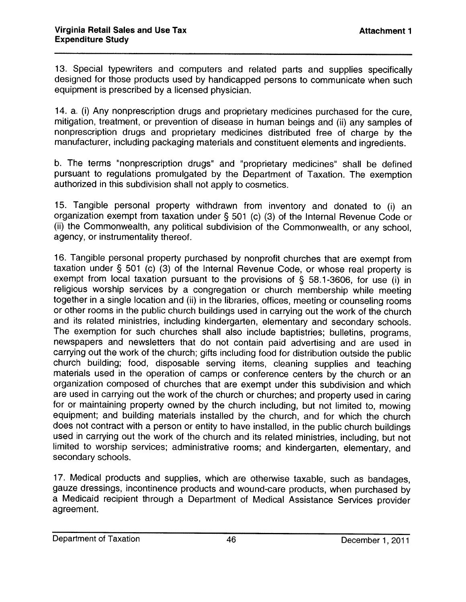13. Special typewriters and computers and related parts and supplies specifically designed for those products used by handicapped persons to communicate when such equipment is prescribed by <sup>a</sup> licensed physician.

14. a. (i) Any nonprescription drugs and proprietary medicines purchased for the cure, mitigation, treatment, or prevention of disease in human beings and (ii) any samples of nonprescription drugs and proprietary medicines distributed free of charge by the manufacturer, including packaging materials and constituent elements and ingredients.

b. The terms "nonprescription drugs" and 'proprietary medicines" shall be defined pursuant to regulations promulgated by the Department of Taxation. The exemption authorized in this subdivision shall not apply to cosmetics.

15. Tangible personal property withdrawn from inventory and donated to (i) an organization exempt from taxation under § <sup>501</sup> (c) (3) of the Internal Revenue Code or (ii) the Commonwealth, any political subdivision of the Commonwealth, or any school, agency, or instrumentality thereof.

16. Tangible personal property purchased by nonprofit churches that are exempt from taxation under § 501 (c) (3) of the Internal Revenue Code, or whose real property is exempt from local taxation pursuant to the provisions of § 58.1-3606, for use (i) in religious worship services by a congregation or church membership while meeting together in <sup>a</sup> single location and (ii) in the libraries, offices, meeting or counseling rooms or other rooms in the public church buildings used in carrying out the work of the church and its related ministries, including kindergarten, elementary and secondary schools. The exemption for such churches shall also include baptistries; bulletins, programs, newspapers and newsletters that do not contain paid advertising and are used in carrying out the work of the church: <sup>g</sup>ifts including food for distribution outside the public church building: food, disposable serving items, cleaning supplies and teaching materials used in the operation of camps or conference centers by the church or an organization composed of churches that are exempt under this subdivision and which are used in carrying out the work of the church or churches; and property used in caring for or maintaining property owned by the church including, but not limited to, mowing equipment; and building materials installed by the church, and for which the church does not contract with <sup>a</sup> person or entity to have installed, in the public church buildings used in carrying out the work of the church and its related ministries, including, but not limited to worship services; administrative rooms; and kindergarten, elementary, and secondary schools.

17. Medical products and supplies, which are otherwise taxable, such as bandages, gauze dressings, incontinence products and wound-care products, when purchased by <sup>a</sup> Medicaid recipient through <sup>a</sup> Department of Medical Assistance Services provider agreement.